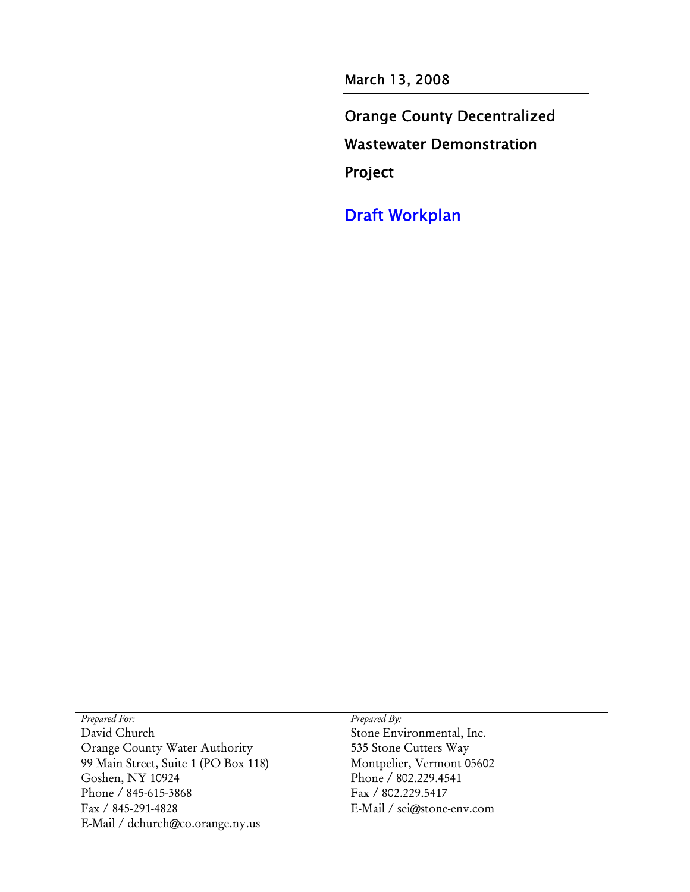March 13, 2008

Orange County Decentralized Wastewater Demonstration Project

Draft Workplan

*Prepared For: Prepared By:*  David Church Orange County Water Authority 99 Main Street, Suite 1 (PO Box 118) Goshen, NY 10924 Phone / 845-615-3868 Fax / 845-291-4828 E-Mail / dchurch@co.orange.ny.us

Stone Environmental, Inc. 535 Stone Cutters Way Montpelier, Vermont 05602 Phone / 802.229.4541 Fax / 802.229.5417 E-Mail / sei@stone-env.com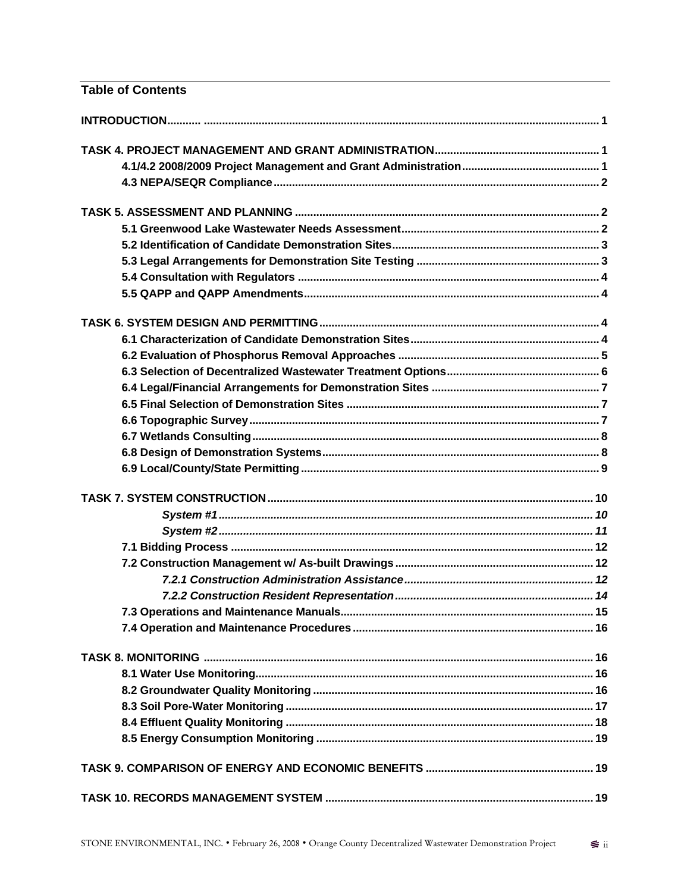| <b>Table of Contents</b> |  |
|--------------------------|--|
|                          |  |
|                          |  |
|                          |  |
|                          |  |
|                          |  |
|                          |  |
|                          |  |
|                          |  |
|                          |  |
|                          |  |
|                          |  |
|                          |  |
|                          |  |
|                          |  |
|                          |  |
|                          |  |
|                          |  |
|                          |  |
|                          |  |
|                          |  |
|                          |  |
|                          |  |
|                          |  |
|                          |  |
|                          |  |
|                          |  |
|                          |  |
|                          |  |
|                          |  |
|                          |  |
|                          |  |
|                          |  |
|                          |  |
|                          |  |
|                          |  |
|                          |  |
|                          |  |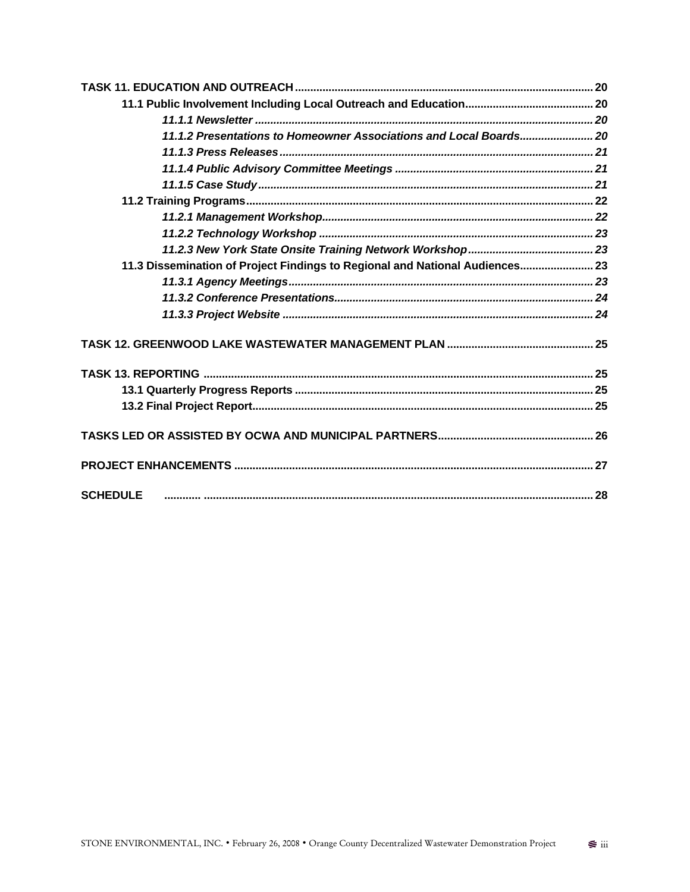| 11.1.2 Presentations to Homeowner Associations and Local Boards 20           |  |
|------------------------------------------------------------------------------|--|
|                                                                              |  |
|                                                                              |  |
|                                                                              |  |
|                                                                              |  |
|                                                                              |  |
|                                                                              |  |
|                                                                              |  |
| 11.3 Dissemination of Project Findings to Regional and National Audiences 23 |  |
|                                                                              |  |
|                                                                              |  |
|                                                                              |  |
|                                                                              |  |
|                                                                              |  |
|                                                                              |  |
|                                                                              |  |
|                                                                              |  |
|                                                                              |  |
| <b>SCHEDULE</b>                                                              |  |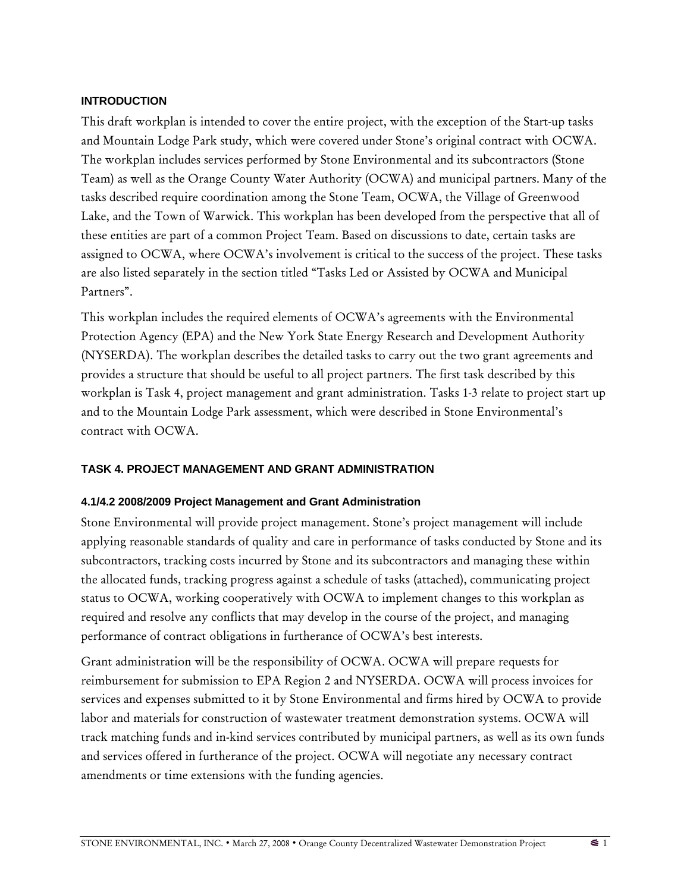#### **INTRODUCTION**

This draft workplan is intended to cover the entire project, with the exception of the Start-up tasks and Mountain Lodge Park study, which were covered under Stone's original contract with OCWA. The workplan includes services performed by Stone Environmental and its subcontractors (Stone Team) as well as the Orange County Water Authority (OCWA) and municipal partners. Many of the tasks described require coordination among the Stone Team, OCWA, the Village of Greenwood Lake, and the Town of Warwick. This workplan has been developed from the perspective that all of these entities are part of a common Project Team. Based on discussions to date, certain tasks are assigned to OCWA, where OCWA's involvement is critical to the success of the project. These tasks are also listed separately in the section titled "Tasks Led or Assisted by OCWA and Municipal Partners".

This workplan includes the required elements of OCWA's agreements with the Environmental Protection Agency (EPA) and the New York State Energy Research and Development Authority (NYSERDA). The workplan describes the detailed tasks to carry out the two grant agreements and provides a structure that should be useful to all project partners. The first task described by this workplan is Task 4, project management and grant administration. Tasks 1-3 relate to project start up and to the Mountain Lodge Park assessment, which were described in Stone Environmental's contract with OCWA.

### **TASK 4. PROJECT MANAGEMENT AND GRANT ADMINISTRATION**

### **4.1/4.2 2008/2009 Project Management and Grant Administration**

Stone Environmental will provide project management. Stone's project management will include applying reasonable standards of quality and care in performance of tasks conducted by Stone and its subcontractors, tracking costs incurred by Stone and its subcontractors and managing these within the allocated funds, tracking progress against a schedule of tasks (attached), communicating project status to OCWA, working cooperatively with OCWA to implement changes to this workplan as required and resolve any conflicts that may develop in the course of the project, and managing performance of contract obligations in furtherance of OCWA's best interests.

Grant administration will be the responsibility of OCWA. OCWA will prepare requests for reimbursement for submission to EPA Region 2 and NYSERDA. OCWA will process invoices for services and expenses submitted to it by Stone Environmental and firms hired by OCWA to provide labor and materials for construction of wastewater treatment demonstration systems. OCWA will track matching funds and in-kind services contributed by municipal partners, as well as its own funds and services offered in furtherance of the project. OCWA will negotiate any necessary contract amendments or time extensions with the funding agencies.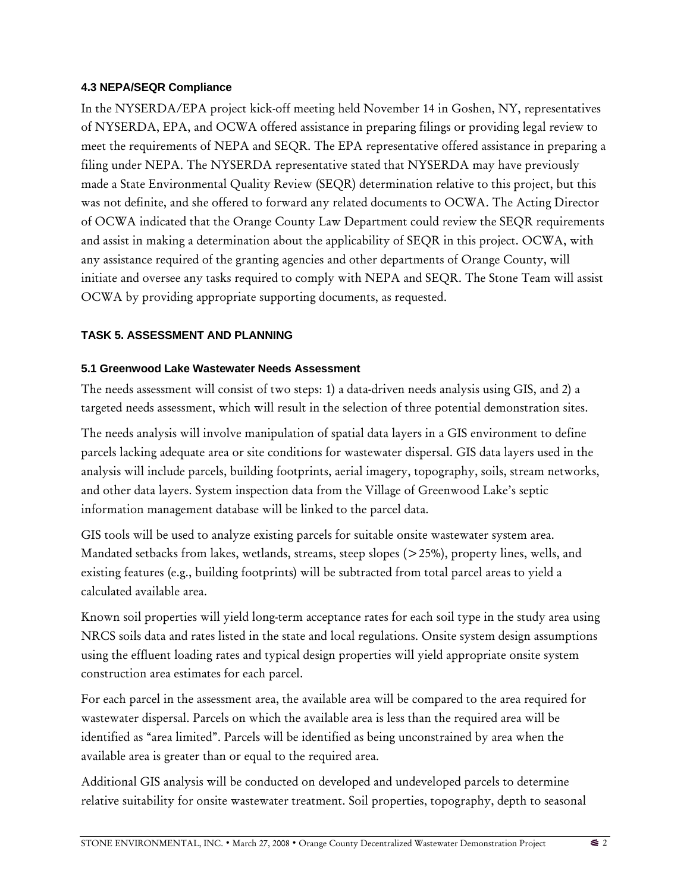### **4.3 NEPA/SEQR Compliance**

In the NYSERDA/EPA project kick-off meeting held November 14 in Goshen, NY, representatives of NYSERDA, EPA, and OCWA offered assistance in preparing filings or providing legal review to meet the requirements of NEPA and SEQR. The EPA representative offered assistance in preparing a filing under NEPA. The NYSERDA representative stated that NYSERDA may have previously made a State Environmental Quality Review (SEQR) determination relative to this project, but this was not definite, and she offered to forward any related documents to OCWA. The Acting Director of OCWA indicated that the Orange County Law Department could review the SEQR requirements and assist in making a determination about the applicability of SEQR in this project. OCWA, with any assistance required of the granting agencies and other departments of Orange County, will initiate and oversee any tasks required to comply with NEPA and SEQR. The Stone Team will assist OCWA by providing appropriate supporting documents, as requested.

### **TASK 5. ASSESSMENT AND PLANNING**

#### **5.1 Greenwood Lake Wastewater Needs Assessment**

The needs assessment will consist of two steps: 1) a data-driven needs analysis using GIS, and 2) a targeted needs assessment, which will result in the selection of three potential demonstration sites.

The needs analysis will involve manipulation of spatial data layers in a GIS environment to define parcels lacking adequate area or site conditions for wastewater dispersal. GIS data layers used in the analysis will include parcels, building footprints, aerial imagery, topography, soils, stream networks, and other data layers. System inspection data from the Village of Greenwood Lake's septic information management database will be linked to the parcel data.

GIS tools will be used to analyze existing parcels for suitable onsite wastewater system area. Mandated setbacks from lakes, wetlands, streams, steep slopes (>25%), property lines, wells, and existing features (e.g., building footprints) will be subtracted from total parcel areas to yield a calculated available area.

Known soil properties will yield long-term acceptance rates for each soil type in the study area using NRCS soils data and rates listed in the state and local regulations. Onsite system design assumptions using the effluent loading rates and typical design properties will yield appropriate onsite system construction area estimates for each parcel.

For each parcel in the assessment area, the available area will be compared to the area required for wastewater dispersal. Parcels on which the available area is less than the required area will be identified as "area limited". Parcels will be identified as being unconstrained by area when the available area is greater than or equal to the required area.

Additional GIS analysis will be conducted on developed and undeveloped parcels to determine relative suitability for onsite wastewater treatment. Soil properties, topography, depth to seasonal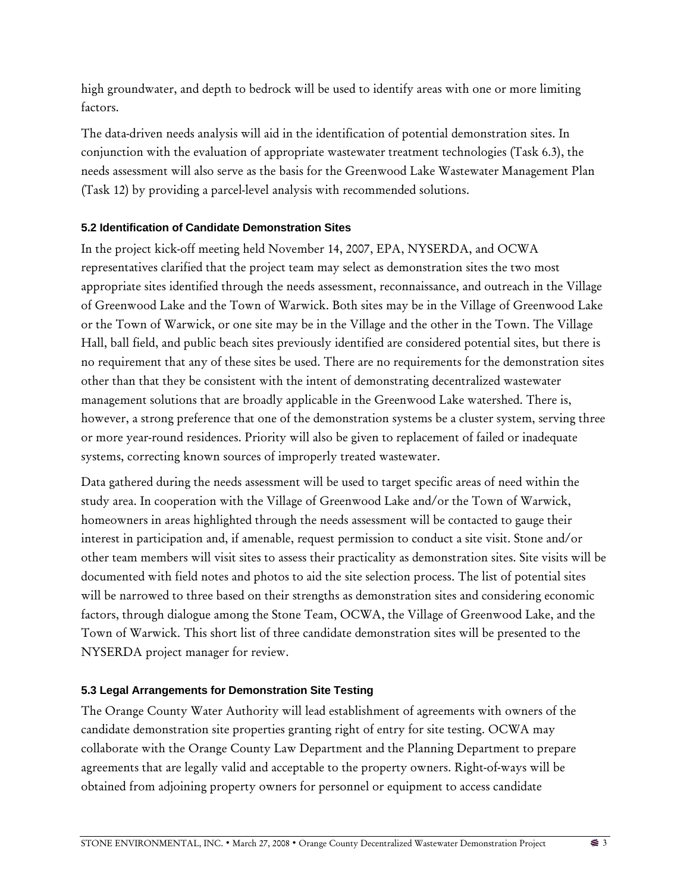high groundwater, and depth to bedrock will be used to identify areas with one or more limiting factors.

The data-driven needs analysis will aid in the identification of potential demonstration sites. In conjunction with the evaluation of appropriate wastewater treatment technologies (Task 6.3), the needs assessment will also serve as the basis for the Greenwood Lake Wastewater Management Plan (Task 12) by providing a parcel-level analysis with recommended solutions.

## **5.2 Identification of Candidate Demonstration Sites**

In the project kick-off meeting held November 14, 2007, EPA, NYSERDA, and OCWA representatives clarified that the project team may select as demonstration sites the two most appropriate sites identified through the needs assessment, reconnaissance, and outreach in the Village of Greenwood Lake and the Town of Warwick. Both sites may be in the Village of Greenwood Lake or the Town of Warwick, or one site may be in the Village and the other in the Town. The Village Hall, ball field, and public beach sites previously identified are considered potential sites, but there is no requirement that any of these sites be used. There are no requirements for the demonstration sites other than that they be consistent with the intent of demonstrating decentralized wastewater management solutions that are broadly applicable in the Greenwood Lake watershed. There is, however, a strong preference that one of the demonstration systems be a cluster system, serving three or more year-round residences. Priority will also be given to replacement of failed or inadequate systems, correcting known sources of improperly treated wastewater.

Data gathered during the needs assessment will be used to target specific areas of need within the study area. In cooperation with the Village of Greenwood Lake and/or the Town of Warwick, homeowners in areas highlighted through the needs assessment will be contacted to gauge their interest in participation and, if amenable, request permission to conduct a site visit. Stone and/or other team members will visit sites to assess their practicality as demonstration sites. Site visits will be documented with field notes and photos to aid the site selection process. The list of potential sites will be narrowed to three based on their strengths as demonstration sites and considering economic factors, through dialogue among the Stone Team, OCWA, the Village of Greenwood Lake, and the Town of Warwick. This short list of three candidate demonstration sites will be presented to the NYSERDA project manager for review.

## **5.3 Legal Arrangements for Demonstration Site Testing**

The Orange County Water Authority will lead establishment of agreements with owners of the candidate demonstration site properties granting right of entry for site testing. OCWA may collaborate with the Orange County Law Department and the Planning Department to prepare agreements that are legally valid and acceptable to the property owners. Right-of-ways will be obtained from adjoining property owners for personnel or equipment to access candidate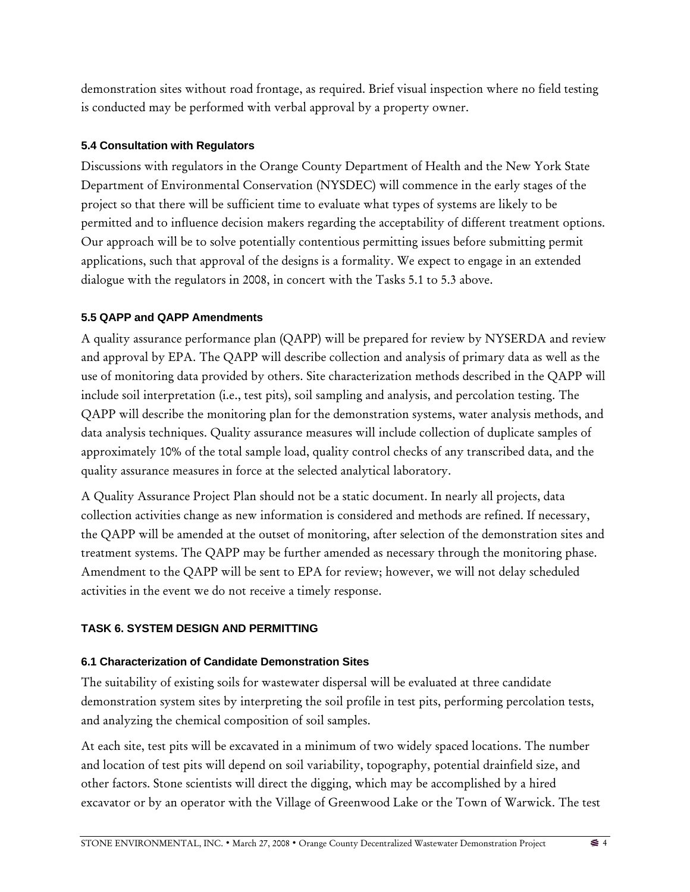demonstration sites without road frontage, as required. Brief visual inspection where no field testing is conducted may be performed with verbal approval by a property owner.

## **5.4 Consultation with Regulators**

Discussions with regulators in the Orange County Department of Health and the New York State Department of Environmental Conservation (NYSDEC) will commence in the early stages of the project so that there will be sufficient time to evaluate what types of systems are likely to be permitted and to influence decision makers regarding the acceptability of different treatment options. Our approach will be to solve potentially contentious permitting issues before submitting permit applications, such that approval of the designs is a formality. We expect to engage in an extended dialogue with the regulators in 2008, in concert with the Tasks 5.1 to 5.3 above.

## **5.5 QAPP and QAPP Amendments**

A quality assurance performance plan (QAPP) will be prepared for review by NYSERDA and review and approval by EPA. The QAPP will describe collection and analysis of primary data as well as the use of monitoring data provided by others. Site characterization methods described in the QAPP will include soil interpretation (i.e., test pits), soil sampling and analysis, and percolation testing. The QAPP will describe the monitoring plan for the demonstration systems, water analysis methods, and data analysis techniques. Quality assurance measures will include collection of duplicate samples of approximately 10% of the total sample load, quality control checks of any transcribed data, and the quality assurance measures in force at the selected analytical laboratory.

A Quality Assurance Project Plan should not be a static document. In nearly all projects, data collection activities change as new information is considered and methods are refined. If necessary, the QAPP will be amended at the outset of monitoring, after selection of the demonstration sites and treatment systems. The QAPP may be further amended as necessary through the monitoring phase. Amendment to the QAPP will be sent to EPA for review; however, we will not delay scheduled activities in the event we do not receive a timely response.

## **TASK 6. SYSTEM DESIGN AND PERMITTING**

### **6.1 Characterization of Candidate Demonstration Sites**

The suitability of existing soils for wastewater dispersal will be evaluated at three candidate demonstration system sites by interpreting the soil profile in test pits, performing percolation tests, and analyzing the chemical composition of soil samples.

At each site, test pits will be excavated in a minimum of two widely spaced locations. The number and location of test pits will depend on soil variability, topography, potential drainfield size, and other factors. Stone scientists will direct the digging, which may be accomplished by a hired excavator or by an operator with the Village of Greenwood Lake or the Town of Warwick. The test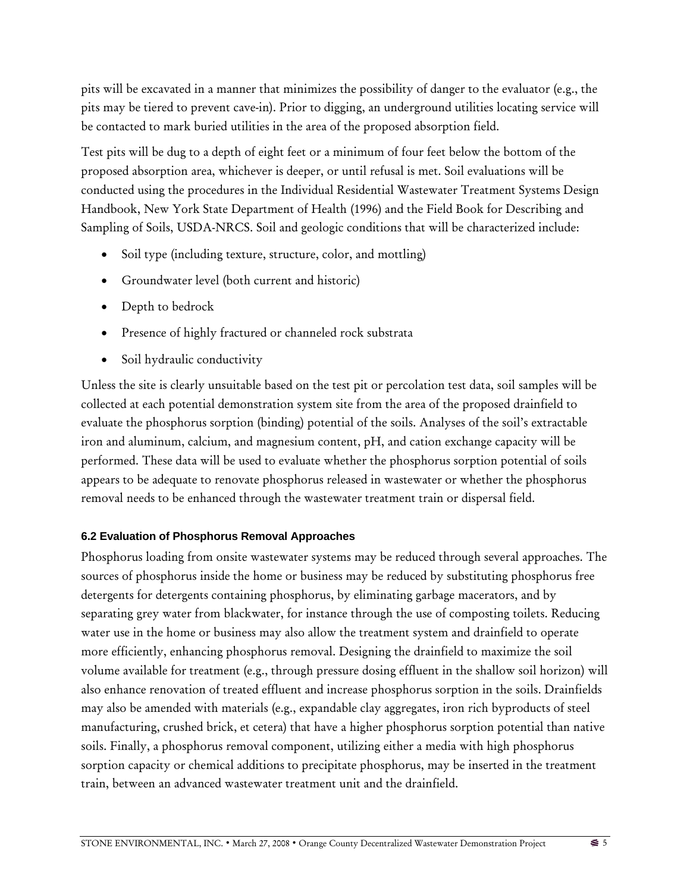pits will be excavated in a manner that minimizes the possibility of danger to the evaluator (e.g., the pits may be tiered to prevent cave-in). Prior to digging, an underground utilities locating service will be contacted to mark buried utilities in the area of the proposed absorption field.

Test pits will be dug to a depth of eight feet or a minimum of four feet below the bottom of the proposed absorption area, whichever is deeper, or until refusal is met. Soil evaluations will be conducted using the procedures in the Individual Residential Wastewater Treatment Systems Design Handbook, New York State Department of Health (1996) and the Field Book for Describing and Sampling of Soils, USDA-NRCS. Soil and geologic conditions that will be characterized include:

- Soil type (including texture, structure, color, and mottling)
- Groundwater level (both current and historic)
- Depth to bedrock
- Presence of highly fractured or channeled rock substrata
- Soil hydraulic conductivity

Unless the site is clearly unsuitable based on the test pit or percolation test data, soil samples will be collected at each potential demonstration system site from the area of the proposed drainfield to evaluate the phosphorus sorption (binding) potential of the soils. Analyses of the soil's extractable iron and aluminum, calcium, and magnesium content, pH, and cation exchange capacity will be performed. These data will be used to evaluate whether the phosphorus sorption potential of soils appears to be adequate to renovate phosphorus released in wastewater or whether the phosphorus removal needs to be enhanced through the wastewater treatment train or dispersal field.

### **6.2 Evaluation of Phosphorus Removal Approaches**

Phosphorus loading from onsite wastewater systems may be reduced through several approaches. The sources of phosphorus inside the home or business may be reduced by substituting phosphorus free detergents for detergents containing phosphorus, by eliminating garbage macerators, and by separating grey water from blackwater, for instance through the use of composting toilets. Reducing water use in the home or business may also allow the treatment system and drainfield to operate more efficiently, enhancing phosphorus removal. Designing the drainfield to maximize the soil volume available for treatment (e.g., through pressure dosing effluent in the shallow soil horizon) will also enhance renovation of treated effluent and increase phosphorus sorption in the soils. Drainfields may also be amended with materials (e.g., expandable clay aggregates, iron rich byproducts of steel manufacturing, crushed brick, et cetera) that have a higher phosphorus sorption potential than native soils. Finally, a phosphorus removal component, utilizing either a media with high phosphorus sorption capacity or chemical additions to precipitate phosphorus, may be inserted in the treatment train, between an advanced wastewater treatment unit and the drainfield.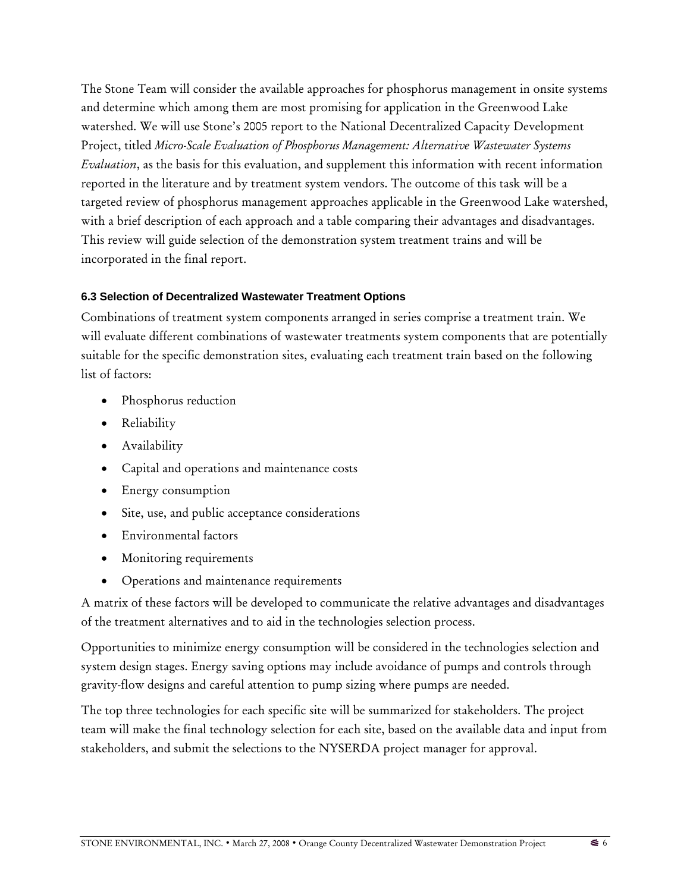The Stone Team will consider the available approaches for phosphorus management in onsite systems and determine which among them are most promising for application in the Greenwood Lake watershed. We will use Stone's 2005 report to the National Decentralized Capacity Development Project, titled *Micro-Scale Evaluation of Phosphorus Management: Alternative Wastewater Systems Evaluation*, as the basis for this evaluation, and supplement this information with recent information reported in the literature and by treatment system vendors. The outcome of this task will be a targeted review of phosphorus management approaches applicable in the Greenwood Lake watershed, with a brief description of each approach and a table comparing their advantages and disadvantages. This review will guide selection of the demonstration system treatment trains and will be incorporated in the final report.

### **6.3 Selection of Decentralized Wastewater Treatment Options**

Combinations of treatment system components arranged in series comprise a treatment train. We will evaluate different combinations of wastewater treatments system components that are potentially suitable for the specific demonstration sites, evaluating each treatment train based on the following list of factors:

- Phosphorus reduction
- Reliability
- Availability
- Capital and operations and maintenance costs
- Energy consumption
- Site, use, and public acceptance considerations
- Environmental factors
- Monitoring requirements
- Operations and maintenance requirements

A matrix of these factors will be developed to communicate the relative advantages and disadvantages of the treatment alternatives and to aid in the technologies selection process.

Opportunities to minimize energy consumption will be considered in the technologies selection and system design stages. Energy saving options may include avoidance of pumps and controls through gravity-flow designs and careful attention to pump sizing where pumps are needed.

The top three technologies for each specific site will be summarized for stakeholders. The project team will make the final technology selection for each site, based on the available data and input from stakeholders, and submit the selections to the NYSERDA project manager for approval.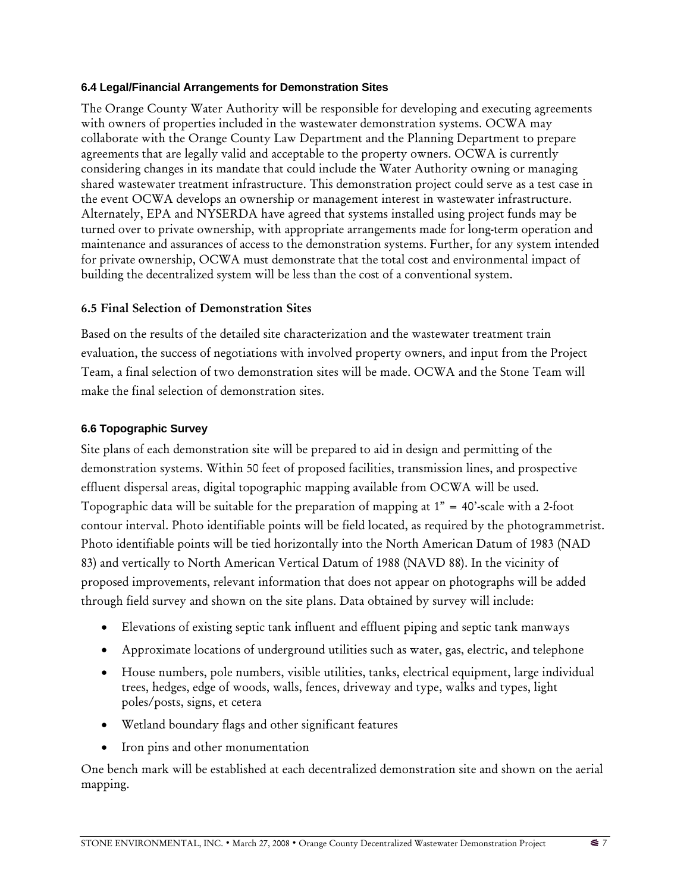#### **6.4 Legal/Financial Arrangements for Demonstration Sites**

The Orange County Water Authority will be responsible for developing and executing agreements with owners of properties included in the wastewater demonstration systems. OCWA may collaborate with the Orange County Law Department and the Planning Department to prepare agreements that are legally valid and acceptable to the property owners. OCWA is currently considering changes in its mandate that could include the Water Authority owning or managing shared wastewater treatment infrastructure. This demonstration project could serve as a test case in the event OCWA develops an ownership or management interest in wastewater infrastructure. Alternately, EPA and NYSERDA have agreed that systems installed using project funds may be turned over to private ownership, with appropriate arrangements made for long-term operation and maintenance and assurances of access to the demonstration systems. Further, for any system intended for private ownership, OCWA must demonstrate that the total cost and environmental impact of building the decentralized system will be less than the cost of a conventional system.

### 6.5 Final Selection of Demonstration Sites

Based on the results of the detailed site characterization and the wastewater treatment train evaluation, the success of negotiations with involved property owners, and input from the Project Team, a final selection of two demonstration sites will be made. OCWA and the Stone Team will make the final selection of demonstration sites.

#### **6.6 Topographic Survey**

Site plans of each demonstration site will be prepared to aid in design and permitting of the demonstration systems. Within 50 feet of proposed facilities, transmission lines, and prospective effluent dispersal areas, digital topographic mapping available from OCWA will be used. Topographic data will be suitable for the preparation of mapping at  $1" = 40'$ -scale with a 2-foot contour interval. Photo identifiable points will be field located, as required by the photogrammetrist. Photo identifiable points will be tied horizontally into the North American Datum of 1983 (NAD 83) and vertically to North American Vertical Datum of 1988 (NAVD 88). In the vicinity of proposed improvements, relevant information that does not appear on photographs will be added through field survey and shown on the site plans. Data obtained by survey will include:

- Elevations of existing septic tank influent and effluent piping and septic tank manways
- Approximate locations of underground utilities such as water, gas, electric, and telephone
- House numbers, pole numbers, visible utilities, tanks, electrical equipment, large individual trees, hedges, edge of woods, walls, fences, driveway and type, walks and types, light poles/posts, signs, et cetera
- Wetland boundary flags and other significant features
- Iron pins and other monumentation

One bench mark will be established at each decentralized demonstration site and shown on the aerial mapping.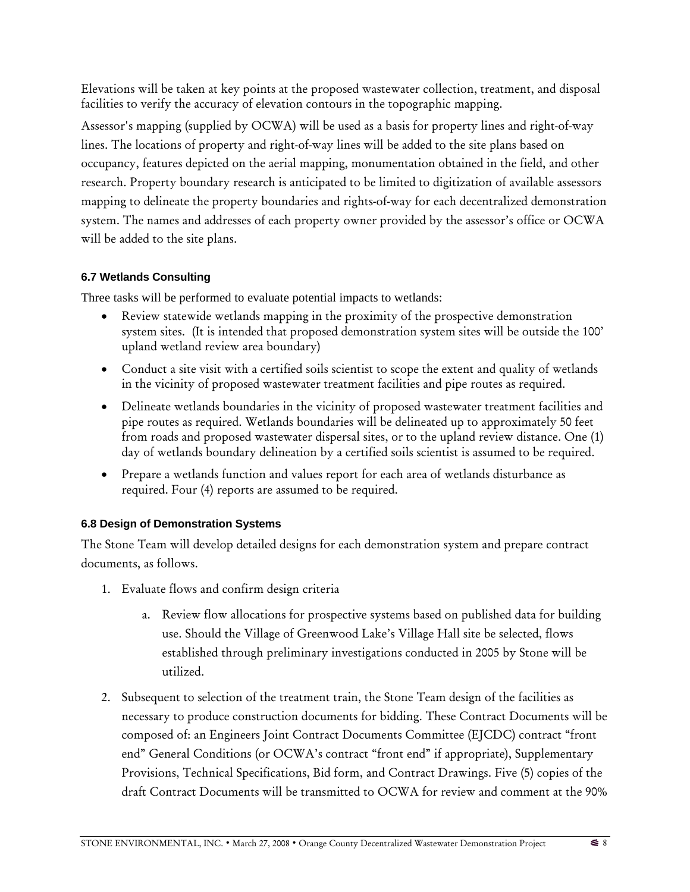Elevations will be taken at key points at the proposed wastewater collection, treatment, and disposal facilities to verify the accuracy of elevation contours in the topographic mapping.

Assessor's mapping (supplied by OCWA) will be used as a basis for property lines and right-of-way lines. The locations of property and right-of-way lines will be added to the site plans based on occupancy, features depicted on the aerial mapping, monumentation obtained in the field, and other research. Property boundary research is anticipated to be limited to digitization of available assessors mapping to delineate the property boundaries and rights-of-way for each decentralized demonstration system. The names and addresses of each property owner provided by the assessor's office or OCWA will be added to the site plans.

## **6.7 Wetlands Consulting**

Three tasks will be performed to evaluate potential impacts to wetlands:

- Review statewide wetlands mapping in the proximity of the prospective demonstration system sites. (It is intended that proposed demonstration system sites will be outside the 100' upland wetland review area boundary)
- Conduct a site visit with a certified soils scientist to scope the extent and quality of wetlands in the vicinity of proposed wastewater treatment facilities and pipe routes as required.
- Delineate wetlands boundaries in the vicinity of proposed wastewater treatment facilities and pipe routes as required. Wetlands boundaries will be delineated up to approximately 50 feet from roads and proposed wastewater dispersal sites, or to the upland review distance. One (1) day of wetlands boundary delineation by a certified soils scientist is assumed to be required.
- Prepare a wetlands function and values report for each area of wetlands disturbance as required. Four (4) reports are assumed to be required.

# **6.8 Design of Demonstration Systems**

The Stone Team will develop detailed designs for each demonstration system and prepare contract documents, as follows.

- 1. Evaluate flows and confirm design criteria
	- a. Review flow allocations for prospective systems based on published data for building use. Should the Village of Greenwood Lake's Village Hall site be selected, flows established through preliminary investigations conducted in 2005 by Stone will be utilized.
- 2. Subsequent to selection of the treatment train, the Stone Team design of the facilities as necessary to produce construction documents for bidding. These Contract Documents will be composed of: an Engineers Joint Contract Documents Committee (EJCDC) contract "front end" General Conditions (or OCWA's contract "front end" if appropriate), Supplementary Provisions, Technical Specifications, Bid form, and Contract Drawings. Five (5) copies of the draft Contract Documents will be transmitted to OCWA for review and comment at the 90%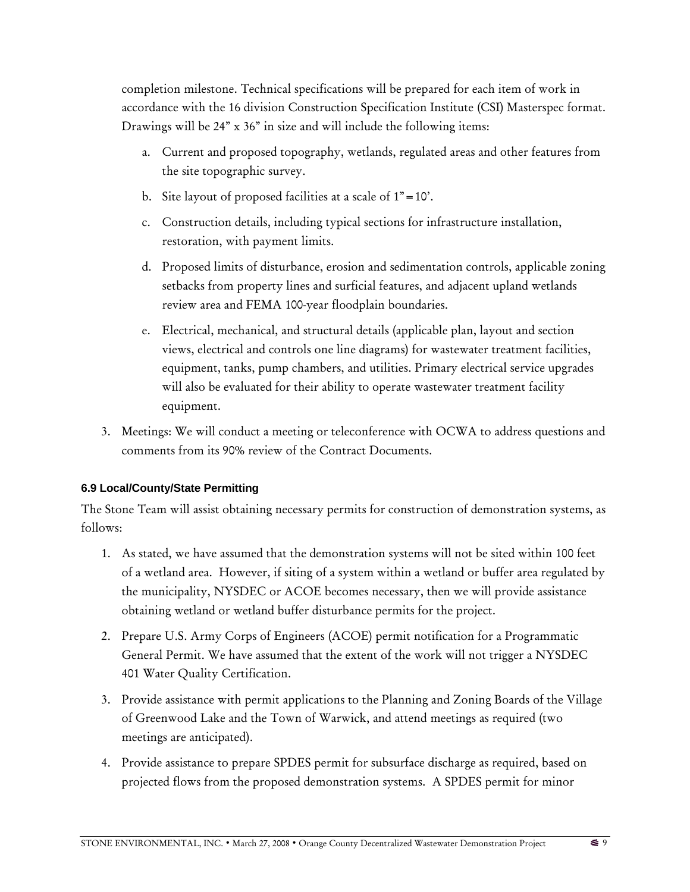completion milestone. Technical specifications will be prepared for each item of work in accordance with the 16 division Construction Specification Institute (CSI) Masterspec format. Drawings will be 24" x 36" in size and will include the following items:

- a. Current and proposed topography, wetlands, regulated areas and other features from the site topographic survey.
- b. Site layout of proposed facilities at a scale of  $1" = 10'$ .
- c. Construction details, including typical sections for infrastructure installation, restoration, with payment limits.
- d. Proposed limits of disturbance, erosion and sedimentation controls, applicable zoning setbacks from property lines and surficial features, and adjacent upland wetlands review area and FEMA 100-year floodplain boundaries.
- e. Electrical, mechanical, and structural details (applicable plan, layout and section views, electrical and controls one line diagrams) for wastewater treatment facilities, equipment, tanks, pump chambers, and utilities. Primary electrical service upgrades will also be evaluated for their ability to operate wastewater treatment facility equipment.
- 3. Meetings: We will conduct a meeting or teleconference with OCWA to address questions and comments from its 90% review of the Contract Documents.

## **6.9 Local/County/State Permitting**

The Stone Team will assist obtaining necessary permits for construction of demonstration systems, as follows:

- 1. As stated, we have assumed that the demonstration systems will not be sited within 100 feet of a wetland area. However, if siting of a system within a wetland or buffer area regulated by the municipality, NYSDEC or ACOE becomes necessary, then we will provide assistance obtaining wetland or wetland buffer disturbance permits for the project.
- 2. Prepare U.S. Army Corps of Engineers (ACOE) permit notification for a Programmatic General Permit. We have assumed that the extent of the work will not trigger a NYSDEC 401 Water Quality Certification.
- 3. Provide assistance with permit applications to the Planning and Zoning Boards of the Village of Greenwood Lake and the Town of Warwick, and attend meetings as required (two meetings are anticipated).
- 4. Provide assistance to prepare SPDES permit for subsurface discharge as required, based on projected flows from the proposed demonstration systems. A SPDES permit for minor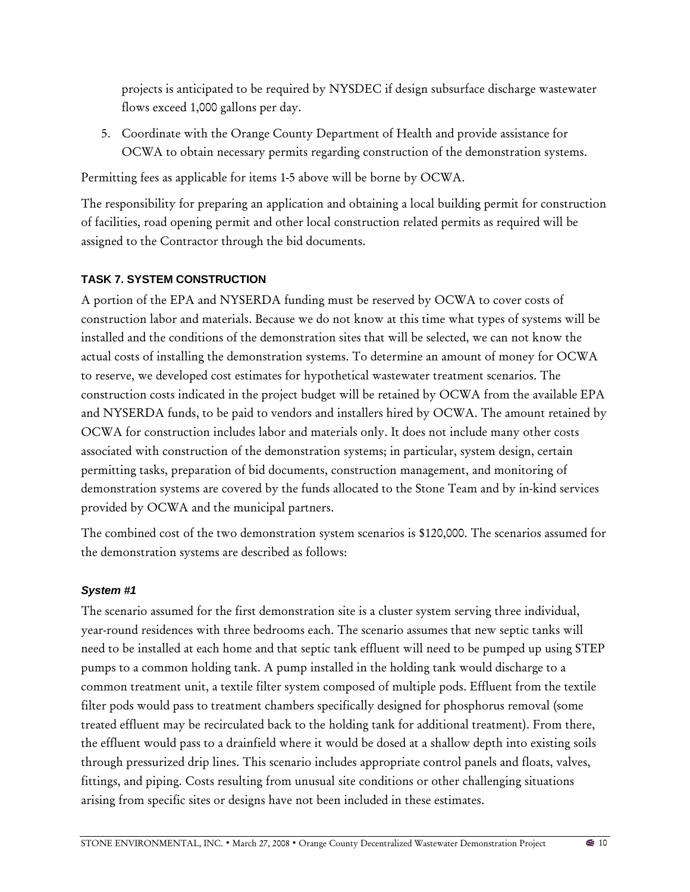projects is anticipated to be required by NYSDEC if design subsurface discharge wastewater flows exceed 1,000 gallons per day.

5. Coordinate with the Orange County Department of Health and provide assistance for OCWA to obtain necessary permits regarding construction of the demonstration systems.

Permitting fees as applicable for items 1-5 above will be borne by OCWA.

The responsibility for preparing an application and obtaining a local building permit for construction of facilities, road opening permit and other local construction related permits as required will be assigned to the Contractor through the bid documents.

# **TASK 7. SYSTEM CONSTRUCTION**

A portion of the EPA and NYSERDA funding must be reserved by OCWA to cover costs of construction labor and materials. Because we do not know at this time what types of systems will be installed and the conditions of the demonstration sites that will be selected, we can not know the actual costs of installing the demonstration systems. To determine an amount of money for OCWA to reserve, we developed cost estimates for hypothetical wastewater treatment scenarios. The construction costs indicated in the project budget will be retained by OCWA from the available EPA and NYSERDA funds, to be paid to vendors and installers hired by OCWA. The amount retained by OCWA for construction includes labor and materials only. It does not include many other costs associated with construction of the demonstration systems; in particular, system design, certain permitting tasks, preparation of bid documents, construction management, and monitoring of demonstration systems are covered by the funds allocated to the Stone Team and by in-kind services provided by OCWA and the municipal partners.

The combined cost of the two demonstration system scenarios is \$120,000. The scenarios assumed for the demonstration systems are described as follows:

## *System #1*

The scenario assumed for the first demonstration site is a cluster system serving three individual, year-round residences with three bedrooms each. The scenario assumes that new septic tanks will need to be installed at each home and that septic tank effluent will need to be pumped up using STEP pumps to a common holding tank. A pump installed in the holding tank would discharge to a common treatment unit, a textile filter system composed of multiple pods. Effluent from the textile filter pods would pass to treatment chambers specifically designed for phosphorus removal (some treated effluent may be recirculated back to the holding tank for additional treatment). From there, the effluent would pass to a drainfield where it would be dosed at a shallow depth into existing soils through pressurized drip lines. This scenario includes appropriate control panels and floats, valves, fittings, and piping. Costs resulting from unusual site conditions or other challenging situations arising from specific sites or designs have not been included in these estimates.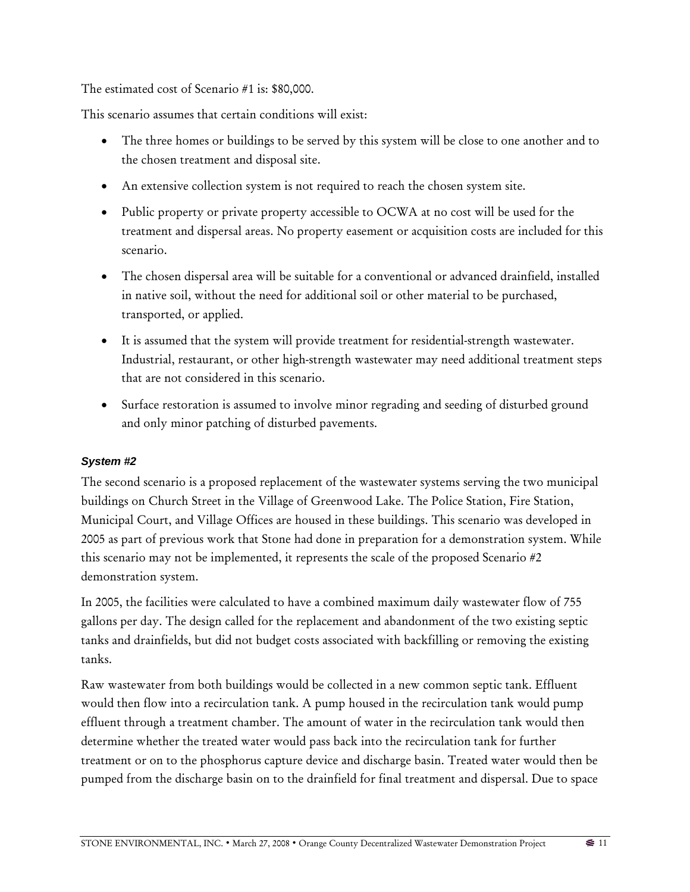The estimated cost of Scenario #1 is: \$80,000.

This scenario assumes that certain conditions will exist:

- The three homes or buildings to be served by this system will be close to one another and to the chosen treatment and disposal site.
- An extensive collection system is not required to reach the chosen system site.
- Public property or private property accessible to OCWA at no cost will be used for the treatment and dispersal areas. No property easement or acquisition costs are included for this scenario.
- The chosen dispersal area will be suitable for a conventional or advanced drainfield, installed in native soil, without the need for additional soil or other material to be purchased, transported, or applied.
- It is assumed that the system will provide treatment for residential-strength wastewater. Industrial, restaurant, or other high-strength wastewater may need additional treatment steps that are not considered in this scenario.
- Surface restoration is assumed to involve minor regrading and seeding of disturbed ground and only minor patching of disturbed pavements.

## *System #2*

The second scenario is a proposed replacement of the wastewater systems serving the two municipal buildings on Church Street in the Village of Greenwood Lake. The Police Station, Fire Station, Municipal Court, and Village Offices are housed in these buildings. This scenario was developed in 2005 as part of previous work that Stone had done in preparation for a demonstration system. While this scenario may not be implemented, it represents the scale of the proposed Scenario #2 demonstration system.

In 2005, the facilities were calculated to have a combined maximum daily wastewater flow of 755 gallons per day. The design called for the replacement and abandonment of the two existing septic tanks and drainfields, but did not budget costs associated with backfilling or removing the existing tanks.

Raw wastewater from both buildings would be collected in a new common septic tank. Effluent would then flow into a recirculation tank. A pump housed in the recirculation tank would pump effluent through a treatment chamber. The amount of water in the recirculation tank would then determine whether the treated water would pass back into the recirculation tank for further treatment or on to the phosphorus capture device and discharge basin. Treated water would then be pumped from the discharge basin on to the drainfield for final treatment and dispersal. Due to space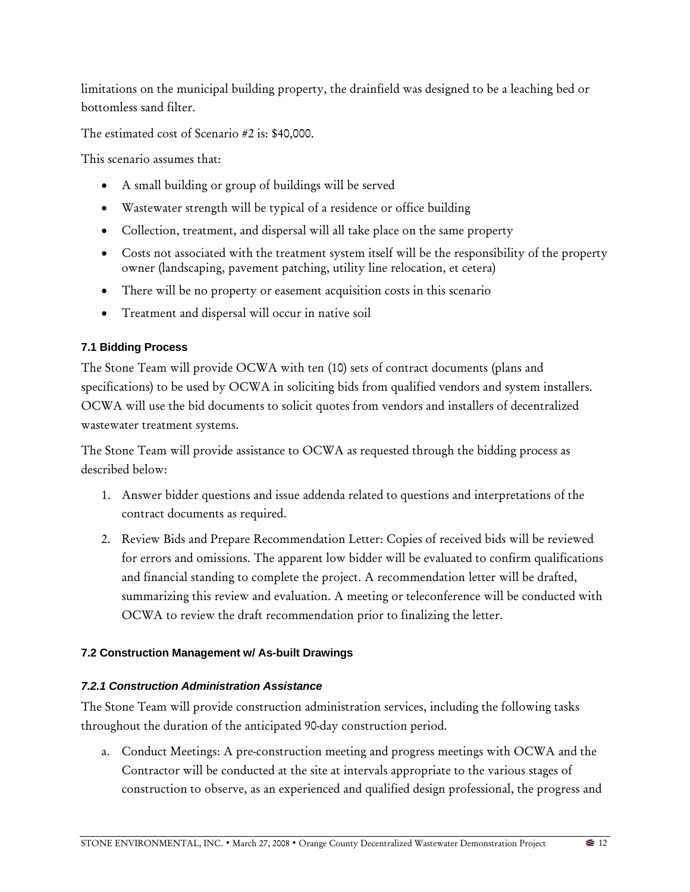limitations on the municipal building property, the drainfield was designed to be a leaching bed or bottomless sand filter.

The estimated cost of Scenario #2 is: \$40,000.

This scenario assumes that:

- A small building or group of buildings will be served
- Wastewater strength will be typical of a residence or office building
- Collection, treatment, and dispersal will all take place on the same property
- Costs not associated with the treatment system itself will be the responsibility of the property owner (landscaping, pavement patching, utility line relocation, et cetera)
- There will be no property or easement acquisition costs in this scenario
- Treatment and dispersal will occur in native soil

# **7.1 Bidding Process**

The Stone Team will provide OCWA with ten (10) sets of contract documents (plans and specifications) to be used by OCWA in soliciting bids from qualified vendors and system installers. OCWA will use the bid documents to solicit quotes from vendors and installers of decentralized wastewater treatment systems.

The Stone Team will provide assistance to OCWA as requested through the bidding process as described below:

- 1. Answer bidder questions and issue addenda related to questions and interpretations of the contract documents as required.
- 2. Review Bids and Prepare Recommendation Letter: Copies of received bids will be reviewed for errors and omissions. The apparent low bidder will be evaluated to confirm qualifications and financial standing to complete the project. A recommendation letter will be drafted, summarizing this review and evaluation. A meeting or teleconference will be conducted with OCWA to review the draft recommendation prior to finalizing the letter.

# **7.2 Construction Management w/ As-built Drawings**

# *7.2.1 Construction Administration Assistance*

The Stone Team will provide construction administration services, including the following tasks throughout the duration of the anticipated 90-day construction period.

a. Conduct Meetings: A pre-construction meeting and progress meetings with OCWA and the Contractor will be conducted at the site at intervals appropriate to the various stages of construction to observe, as an experienced and qualified design professional, the progress and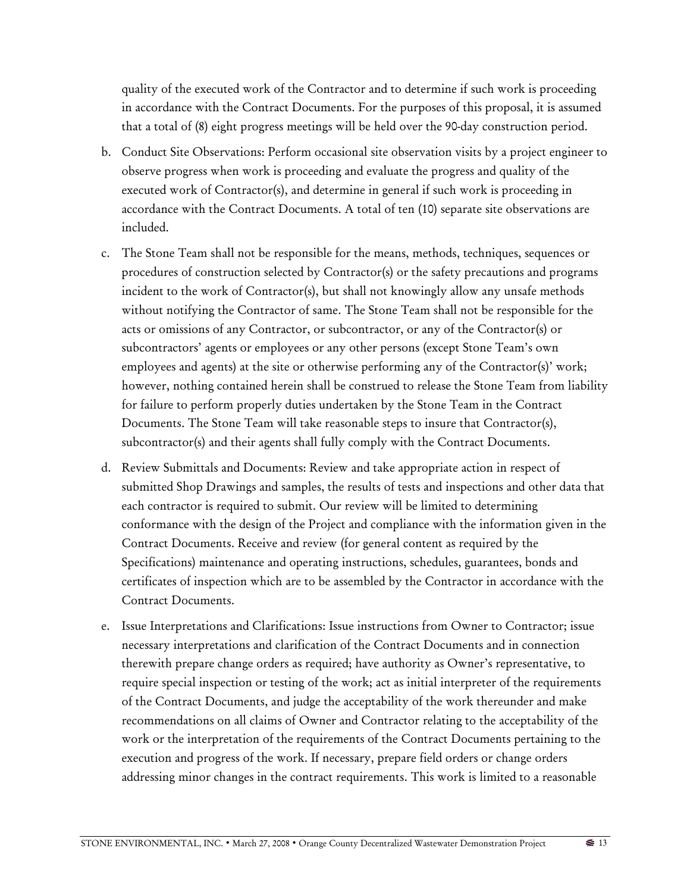quality of the executed work of the Contractor and to determine if such work is proceeding in accordance with the Contract Documents. For the purposes of this proposal, it is assumed that a total of (8) eight progress meetings will be held over the 90-day construction period.

- b. Conduct Site Observations: Perform occasional site observation visits by a project engineer to observe progress when work is proceeding and evaluate the progress and quality of the executed work of Contractor(s), and determine in general if such work is proceeding in accordance with the Contract Documents. A total of ten (10) separate site observations are included.
- c. The Stone Team shall not be responsible for the means, methods, techniques, sequences or procedures of construction selected by Contractor(s) or the safety precautions and programs incident to the work of Contractor(s), but shall not knowingly allow any unsafe methods without notifying the Contractor of same. The Stone Team shall not be responsible for the acts or omissions of any Contractor, or subcontractor, or any of the Contractor(s) or subcontractors' agents or employees or any other persons (except Stone Team's own employees and agents) at the site or otherwise performing any of the Contractor(s)' work; however, nothing contained herein shall be construed to release the Stone Team from liability for failure to perform properly duties undertaken by the Stone Team in the Contract Documents. The Stone Team will take reasonable steps to insure that Contractor(s), subcontractor(s) and their agents shall fully comply with the Contract Documents.
- d. Review Submittals and Documents: Review and take appropriate action in respect of submitted Shop Drawings and samples, the results of tests and inspections and other data that each contractor is required to submit. Our review will be limited to determining conformance with the design of the Project and compliance with the information given in the Contract Documents. Receive and review (for general content as required by the Specifications) maintenance and operating instructions, schedules, guarantees, bonds and certificates of inspection which are to be assembled by the Contractor in accordance with the Contract Documents.
- e. Issue Interpretations and Clarifications: Issue instructions from Owner to Contractor; issue necessary interpretations and clarification of the Contract Documents and in connection therewith prepare change orders as required; have authority as Owner's representative, to require special inspection or testing of the work; act as initial interpreter of the requirements of the Contract Documents, and judge the acceptability of the work thereunder and make recommendations on all claims of Owner and Contractor relating to the acceptability of the work or the interpretation of the requirements of the Contract Documents pertaining to the execution and progress of the work. If necessary, prepare field orders or change orders addressing minor changes in the contract requirements. This work is limited to a reasonable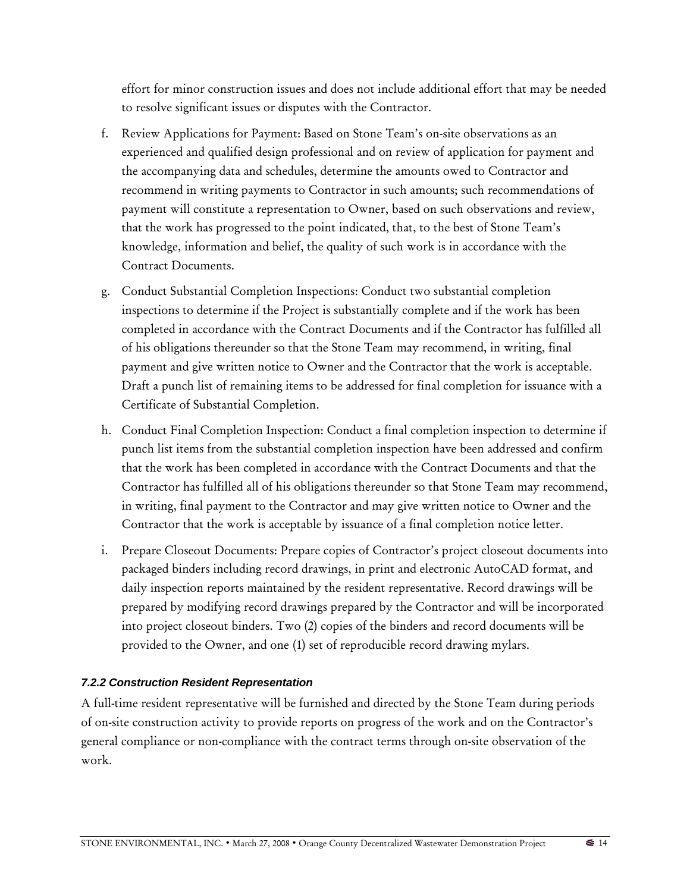effort for minor construction issues and does not include additional effort that may be needed to resolve significant issues or disputes with the Contractor.

- f. Review Applications for Payment: Based on Stone Team's on-site observations as an experienced and qualified design professional and on review of application for payment and the accompanying data and schedules, determine the amounts owed to Contractor and recommend in writing payments to Contractor in such amounts; such recommendations of payment will constitute a representation to Owner, based on such observations and review, that the work has progressed to the point indicated, that, to the best of Stone Team's knowledge, information and belief, the quality of such work is in accordance with the Contract Documents.
- g. Conduct Substantial Completion Inspections: Conduct two substantial completion inspections to determine if the Project is substantially complete and if the work has been completed in accordance with the Contract Documents and if the Contractor has fulfilled all of his obligations thereunder so that the Stone Team may recommend, in writing, final payment and give written notice to Owner and the Contractor that the work is acceptable. Draft a punch list of remaining items to be addressed for final completion for issuance with a Certificate of Substantial Completion.
- h. Conduct Final Completion Inspection: Conduct a final completion inspection to determine if punch list items from the substantial completion inspection have been addressed and confirm that the work has been completed in accordance with the Contract Documents and that the Contractor has fulfilled all of his obligations thereunder so that Stone Team may recommend, in writing, final payment to the Contractor and may give written notice to Owner and the Contractor that the work is acceptable by issuance of a final completion notice letter.
- i. Prepare Closeout Documents: Prepare copies of Contractor's project closeout documents into packaged binders including record drawings, in print and electronic AutoCAD format, and daily inspection reports maintained by the resident representative. Record drawings will be prepared by modifying record drawings prepared by the Contractor and will be incorporated into project closeout binders. Two (2) copies of the binders and record documents will be provided to the Owner, and one (1) set of reproducible record drawing mylars.

## *7.2.2 Construction Resident Representation*

A full-time resident representative will be furnished and directed by the Stone Team during periods of on-site construction activity to provide reports on progress of the work and on the Contractor's general compliance or non-compliance with the contract terms through on-site observation of the work.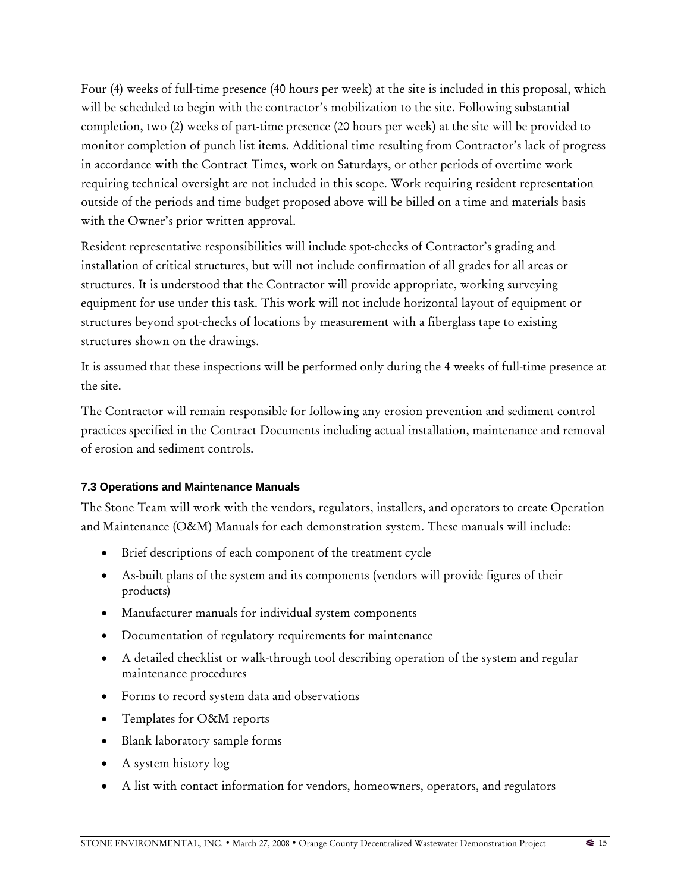Four (4) weeks of full-time presence (40 hours per week) at the site is included in this proposal, which will be scheduled to begin with the contractor's mobilization to the site. Following substantial completion, two (2) weeks of part-time presence (20 hours per week) at the site will be provided to monitor completion of punch list items. Additional time resulting from Contractor's lack of progress in accordance with the Contract Times, work on Saturdays, or other periods of overtime work requiring technical oversight are not included in this scope. Work requiring resident representation outside of the periods and time budget proposed above will be billed on a time and materials basis with the Owner's prior written approval.

Resident representative responsibilities will include spot-checks of Contractor's grading and installation of critical structures, but will not include confirmation of all grades for all areas or structures. It is understood that the Contractor will provide appropriate, working surveying equipment for use under this task. This work will not include horizontal layout of equipment or structures beyond spot-checks of locations by measurement with a fiberglass tape to existing structures shown on the drawings.

It is assumed that these inspections will be performed only during the 4 weeks of full-time presence at the site.

The Contractor will remain responsible for following any erosion prevention and sediment control practices specified in the Contract Documents including actual installation, maintenance and removal of erosion and sediment controls.

## **7.3 Operations and Maintenance Manuals**

The Stone Team will work with the vendors, regulators, installers, and operators to create Operation and Maintenance (O&M) Manuals for each demonstration system. These manuals will include:

- Brief descriptions of each component of the treatment cycle
- As-built plans of the system and its components (vendors will provide figures of their products)
- Manufacturer manuals for individual system components
- Documentation of regulatory requirements for maintenance
- A detailed checklist or walk-through tool describing operation of the system and regular maintenance procedures
- Forms to record system data and observations
- Templates for O&M reports
- Blank laboratory sample forms
- A system history log
- A list with contact information for vendors, homeowners, operators, and regulators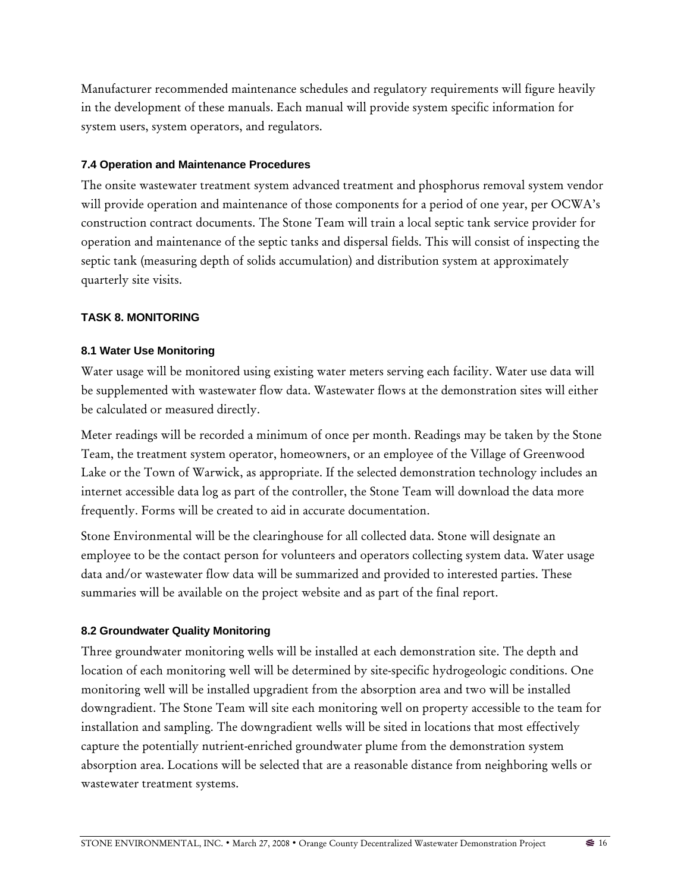Manufacturer recommended maintenance schedules and regulatory requirements will figure heavily in the development of these manuals. Each manual will provide system specific information for system users, system operators, and regulators.

## **7.4 Operation and Maintenance Procedures**

The onsite wastewater treatment system advanced treatment and phosphorus removal system vendor will provide operation and maintenance of those components for a period of one year, per OCWA's construction contract documents. The Stone Team will train a local septic tank service provider for operation and maintenance of the septic tanks and dispersal fields. This will consist of inspecting the septic tank (measuring depth of solids accumulation) and distribution system at approximately quarterly site visits.

## **TASK 8. MONITORING**

## **8.1 Water Use Monitoring**

Water usage will be monitored using existing water meters serving each facility. Water use data will be supplemented with wastewater flow data. Wastewater flows at the demonstration sites will either be calculated or measured directly.

Meter readings will be recorded a minimum of once per month. Readings may be taken by the Stone Team, the treatment system operator, homeowners, or an employee of the Village of Greenwood Lake or the Town of Warwick, as appropriate. If the selected demonstration technology includes an internet accessible data log as part of the controller, the Stone Team will download the data more frequently. Forms will be created to aid in accurate documentation.

Stone Environmental will be the clearinghouse for all collected data. Stone will designate an employee to be the contact person for volunteers and operators collecting system data. Water usage data and/or wastewater flow data will be summarized and provided to interested parties. These summaries will be available on the project website and as part of the final report.

## **8.2 Groundwater Quality Monitoring**

Three groundwater monitoring wells will be installed at each demonstration site. The depth and location of each monitoring well will be determined by site-specific hydrogeologic conditions. One monitoring well will be installed upgradient from the absorption area and two will be installed downgradient. The Stone Team will site each monitoring well on property accessible to the team for installation and sampling. The downgradient wells will be sited in locations that most effectively capture the potentially nutrient-enriched groundwater plume from the demonstration system absorption area. Locations will be selected that are a reasonable distance from neighboring wells or wastewater treatment systems.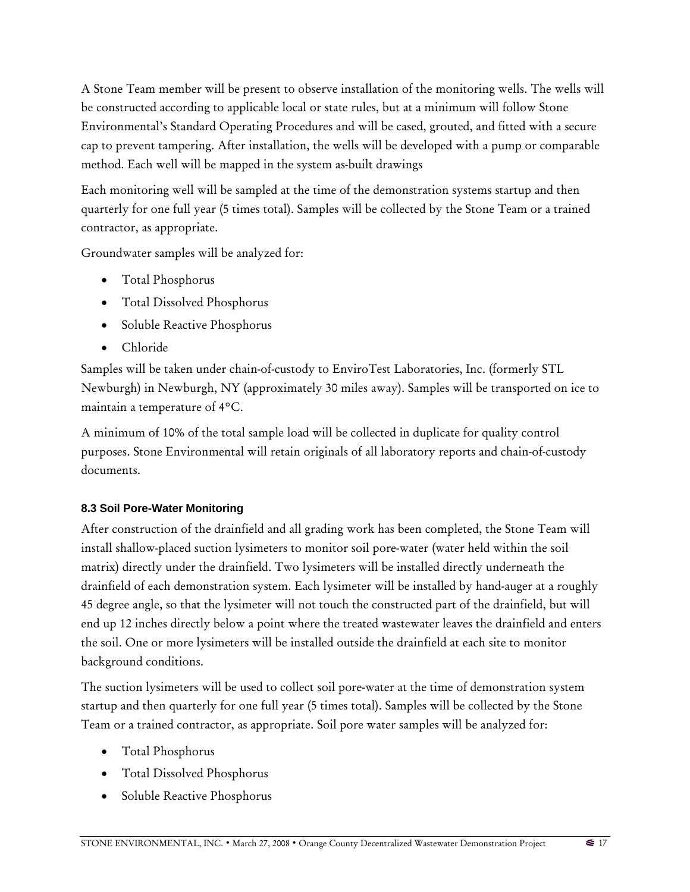A Stone Team member will be present to observe installation of the monitoring wells. The wells will be constructed according to applicable local or state rules, but at a minimum will follow Stone Environmental's Standard Operating Procedures and will be cased, grouted, and fitted with a secure cap to prevent tampering. After installation, the wells will be developed with a pump or comparable method. Each well will be mapped in the system as-built drawings

Each monitoring well will be sampled at the time of the demonstration systems startup and then quarterly for one full year (5 times total). Samples will be collected by the Stone Team or a trained contractor, as appropriate.

Groundwater samples will be analyzed for:

- Total Phosphorus
- Total Dissolved Phosphorus
- Soluble Reactive Phosphorus
- Chloride

Samples will be taken under chain-of-custody to EnviroTest Laboratories, Inc. (formerly STL Newburgh) in Newburgh, NY (approximately 30 miles away). Samples will be transported on ice to maintain a temperature of 4°C.

A minimum of 10% of the total sample load will be collected in duplicate for quality control purposes. Stone Environmental will retain originals of all laboratory reports and chain-of-custody documents.

# **8.3 Soil Pore-Water Monitoring**

After construction of the drainfield and all grading work has been completed, the Stone Team will install shallow-placed suction lysimeters to monitor soil pore-water (water held within the soil matrix) directly under the drainfield. Two lysimeters will be installed directly underneath the drainfield of each demonstration system. Each lysimeter will be installed by hand-auger at a roughly 45 degree angle, so that the lysimeter will not touch the constructed part of the drainfield, but will end up 12 inches directly below a point where the treated wastewater leaves the drainfield and enters the soil. One or more lysimeters will be installed outside the drainfield at each site to monitor background conditions.

The suction lysimeters will be used to collect soil pore-water at the time of demonstration system startup and then quarterly for one full year (5 times total). Samples will be collected by the Stone Team or a trained contractor, as appropriate. Soil pore water samples will be analyzed for:

- Total Phosphorus
- Total Dissolved Phosphorus
- Soluble Reactive Phosphorus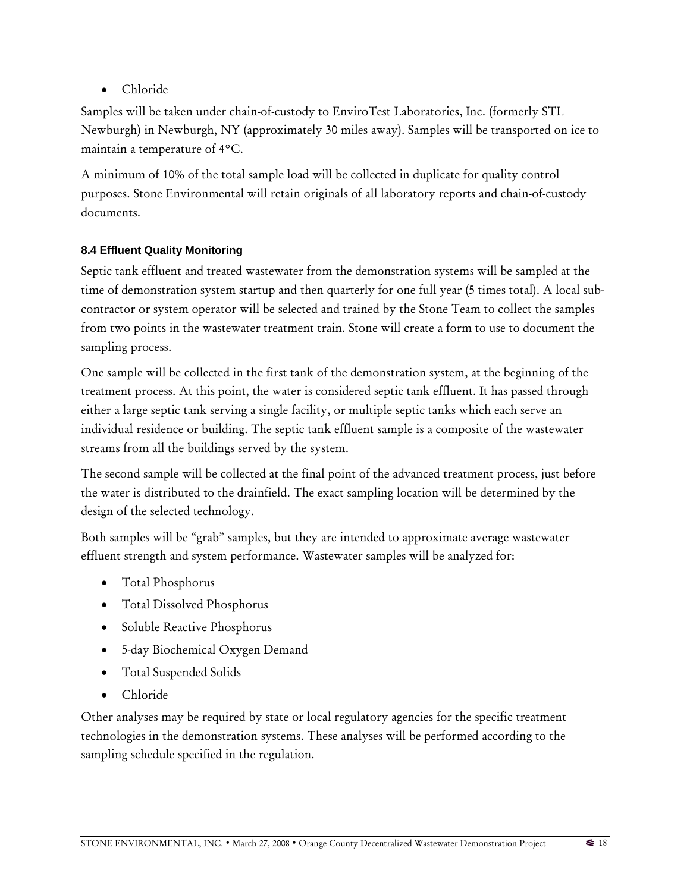• Chloride

Samples will be taken under chain-of-custody to EnviroTest Laboratories, Inc. (formerly STL Newburgh) in Newburgh, NY (approximately 30 miles away). Samples will be transported on ice to maintain a temperature of 4°C.

A minimum of 10% of the total sample load will be collected in duplicate for quality control purposes. Stone Environmental will retain originals of all laboratory reports and chain-of-custody documents.

# **8.4 Effluent Quality Monitoring**

Septic tank effluent and treated wastewater from the demonstration systems will be sampled at the time of demonstration system startup and then quarterly for one full year (5 times total). A local subcontractor or system operator will be selected and trained by the Stone Team to collect the samples from two points in the wastewater treatment train. Stone will create a form to use to document the sampling process.

One sample will be collected in the first tank of the demonstration system, at the beginning of the treatment process. At this point, the water is considered septic tank effluent. It has passed through either a large septic tank serving a single facility, or multiple septic tanks which each serve an individual residence or building. The septic tank effluent sample is a composite of the wastewater streams from all the buildings served by the system.

The second sample will be collected at the final point of the advanced treatment process, just before the water is distributed to the drainfield. The exact sampling location will be determined by the design of the selected technology.

Both samples will be "grab" samples, but they are intended to approximate average wastewater effluent strength and system performance. Wastewater samples will be analyzed for:

- Total Phosphorus
- Total Dissolved Phosphorus
- Soluble Reactive Phosphorus
- 5-day Biochemical Oxygen Demand
- Total Suspended Solids
- Chloride

Other analyses may be required by state or local regulatory agencies for the specific treatment technologies in the demonstration systems. These analyses will be performed according to the sampling schedule specified in the regulation.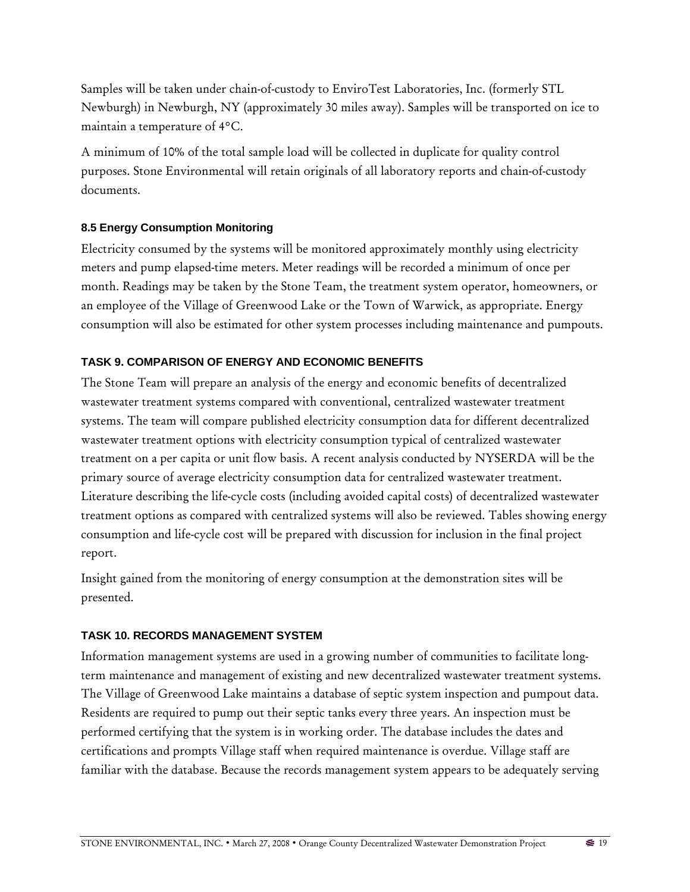Samples will be taken under chain-of-custody to EnviroTest Laboratories, Inc. (formerly STL Newburgh) in Newburgh, NY (approximately 30 miles away). Samples will be transported on ice to maintain a temperature of 4°C.

A minimum of 10% of the total sample load will be collected in duplicate for quality control purposes. Stone Environmental will retain originals of all laboratory reports and chain-of-custody documents.

## **8.5 Energy Consumption Monitoring**

Electricity consumed by the systems will be monitored approximately monthly using electricity meters and pump elapsed-time meters. Meter readings will be recorded a minimum of once per month. Readings may be taken by the Stone Team, the treatment system operator, homeowners, or an employee of the Village of Greenwood Lake or the Town of Warwick, as appropriate. Energy consumption will also be estimated for other system processes including maintenance and pumpouts.

## **TASK 9. COMPARISON OF ENERGY AND ECONOMIC BENEFITS**

The Stone Team will prepare an analysis of the energy and economic benefits of decentralized wastewater treatment systems compared with conventional, centralized wastewater treatment systems. The team will compare published electricity consumption data for different decentralized wastewater treatment options with electricity consumption typical of centralized wastewater treatment on a per capita or unit flow basis. A recent analysis conducted by NYSERDA will be the primary source of average electricity consumption data for centralized wastewater treatment. Literature describing the life-cycle costs (including avoided capital costs) of decentralized wastewater treatment options as compared with centralized systems will also be reviewed. Tables showing energy consumption and life-cycle cost will be prepared with discussion for inclusion in the final project report.

Insight gained from the monitoring of energy consumption at the demonstration sites will be presented.

### **TASK 10. RECORDS MANAGEMENT SYSTEM**

Information management systems are used in a growing number of communities to facilitate longterm maintenance and management of existing and new decentralized wastewater treatment systems. The Village of Greenwood Lake maintains a database of septic system inspection and pumpout data. Residents are required to pump out their septic tanks every three years. An inspection must be performed certifying that the system is in working order. The database includes the dates and certifications and prompts Village staff when required maintenance is overdue. Village staff are familiar with the database. Because the records management system appears to be adequately serving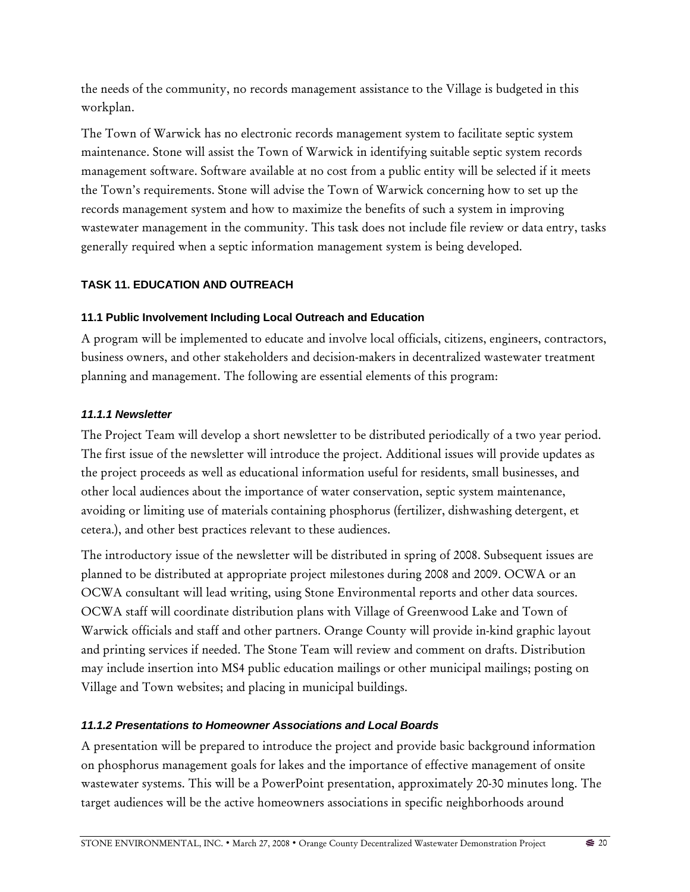the needs of the community, no records management assistance to the Village is budgeted in this workplan.

The Town of Warwick has no electronic records management system to facilitate septic system maintenance. Stone will assist the Town of Warwick in identifying suitable septic system records management software. Software available at no cost from a public entity will be selected if it meets the Town's requirements. Stone will advise the Town of Warwick concerning how to set up the records management system and how to maximize the benefits of such a system in improving wastewater management in the community. This task does not include file review or data entry, tasks generally required when a septic information management system is being developed.

## **TASK 11. EDUCATION AND OUTREACH**

## **11.1 Public Involvement Including Local Outreach and Education**

A program will be implemented to educate and involve local officials, citizens, engineers, contractors, business owners, and other stakeholders and decision-makers in decentralized wastewater treatment planning and management. The following are essential elements of this program:

## *11.1.1 Newsletter*

The Project Team will develop a short newsletter to be distributed periodically of a two year period. The first issue of the newsletter will introduce the project. Additional issues will provide updates as the project proceeds as well as educational information useful for residents, small businesses, and other local audiences about the importance of water conservation, septic system maintenance, avoiding or limiting use of materials containing phosphorus (fertilizer, dishwashing detergent, et cetera.), and other best practices relevant to these audiences.

The introductory issue of the newsletter will be distributed in spring of 2008. Subsequent issues are planned to be distributed at appropriate project milestones during 2008 and 2009. OCWA or an OCWA consultant will lead writing, using Stone Environmental reports and other data sources. OCWA staff will coordinate distribution plans with Village of Greenwood Lake and Town of Warwick officials and staff and other partners. Orange County will provide in-kind graphic layout and printing services if needed. The Stone Team will review and comment on drafts. Distribution may include insertion into MS4 public education mailings or other municipal mailings; posting on Village and Town websites; and placing in municipal buildings.

## *11.1.2 Presentations to Homeowner Associations and Local Boards*

A presentation will be prepared to introduce the project and provide basic background information on phosphorus management goals for lakes and the importance of effective management of onsite wastewater systems. This will be a PowerPoint presentation, approximately 20-30 minutes long. The target audiences will be the active homeowners associations in specific neighborhoods around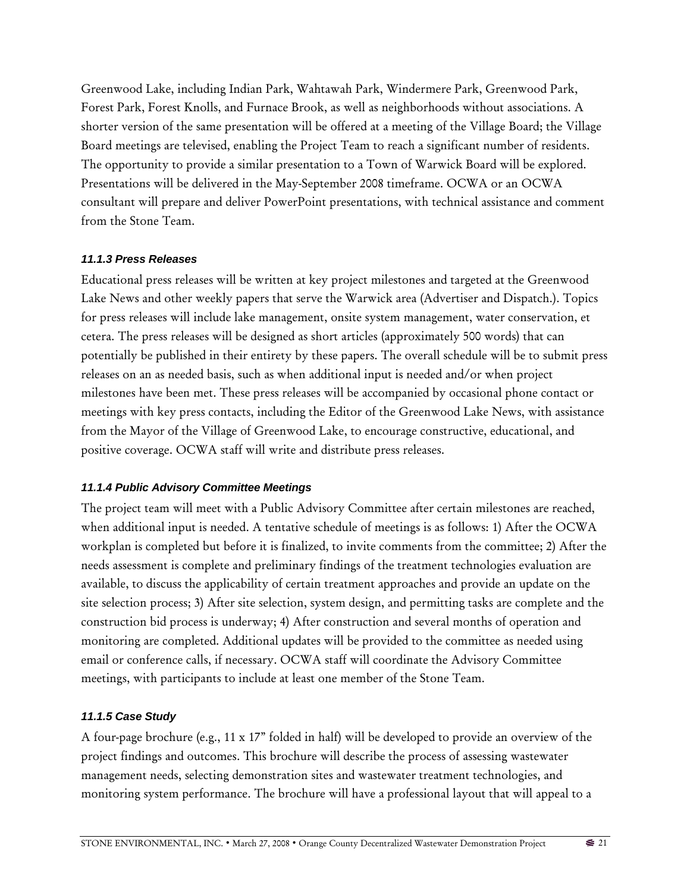Greenwood Lake, including Indian Park, Wahtawah Park, Windermere Park, Greenwood Park, Forest Park, Forest Knolls, and Furnace Brook, as well as neighborhoods without associations. A shorter version of the same presentation will be offered at a meeting of the Village Board; the Village Board meetings are televised, enabling the Project Team to reach a significant number of residents. The opportunity to provide a similar presentation to a Town of Warwick Board will be explored. Presentations will be delivered in the May-September 2008 timeframe. OCWA or an OCWA consultant will prepare and deliver PowerPoint presentations, with technical assistance and comment from the Stone Team.

### *11.1.3 Press Releases*

Educational press releases will be written at key project milestones and targeted at the Greenwood Lake News and other weekly papers that serve the Warwick area (Advertiser and Dispatch.). Topics for press releases will include lake management, onsite system management, water conservation, et cetera. The press releases will be designed as short articles (approximately 500 words) that can potentially be published in their entirety by these papers. The overall schedule will be to submit press releases on an as needed basis, such as when additional input is needed and/or when project milestones have been met. These press releases will be accompanied by occasional phone contact or meetings with key press contacts, including the Editor of the Greenwood Lake News, with assistance from the Mayor of the Village of Greenwood Lake, to encourage constructive, educational, and positive coverage. OCWA staff will write and distribute press releases.

### *11.1.4 Public Advisory Committee Meetings*

The project team will meet with a Public Advisory Committee after certain milestones are reached, when additional input is needed. A tentative schedule of meetings is as follows: 1) After the OCWA workplan is completed but before it is finalized, to invite comments from the committee; 2) After the needs assessment is complete and preliminary findings of the treatment technologies evaluation are available, to discuss the applicability of certain treatment approaches and provide an update on the site selection process; 3) After site selection, system design, and permitting tasks are complete and the construction bid process is underway; 4) After construction and several months of operation and monitoring are completed. Additional updates will be provided to the committee as needed using email or conference calls, if necessary. OCWA staff will coordinate the Advisory Committee meetings, with participants to include at least one member of the Stone Team.

### *11.1.5 Case Study*

A four-page brochure (e.g., 11 x 17" folded in half) will be developed to provide an overview of the project findings and outcomes. This brochure will describe the process of assessing wastewater management needs, selecting demonstration sites and wastewater treatment technologies, and monitoring system performance. The brochure will have a professional layout that will appeal to a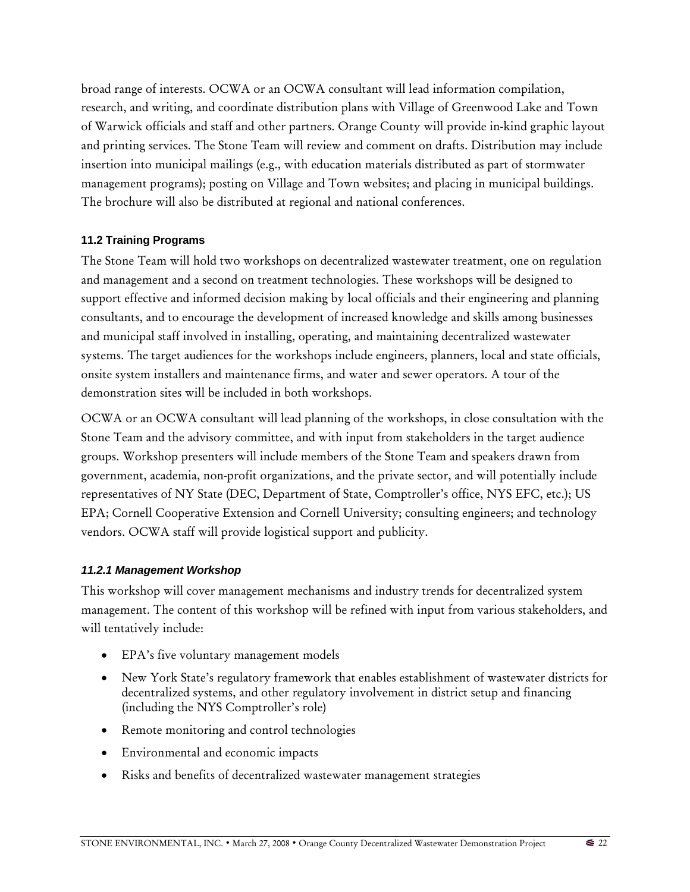broad range of interests. OCWA or an OCWA consultant will lead information compilation, research, and writing, and coordinate distribution plans with Village of Greenwood Lake and Town of Warwick officials and staff and other partners. Orange County will provide in-kind graphic layout and printing services. The Stone Team will review and comment on drafts. Distribution may include insertion into municipal mailings (e.g., with education materials distributed as part of stormwater management programs); posting on Village and Town websites; and placing in municipal buildings. The brochure will also be distributed at regional and national conferences.

### **11.2 Training Programs**

The Stone Team will hold two workshops on decentralized wastewater treatment, one on regulation and management and a second on treatment technologies. These workshops will be designed to support effective and informed decision making by local officials and their engineering and planning consultants, and to encourage the development of increased knowledge and skills among businesses and municipal staff involved in installing, operating, and maintaining decentralized wastewater systems. The target audiences for the workshops include engineers, planners, local and state officials, onsite system installers and maintenance firms, and water and sewer operators. A tour of the demonstration sites will be included in both workshops.

OCWA or an OCWA consultant will lead planning of the workshops, in close consultation with the Stone Team and the advisory committee, and with input from stakeholders in the target audience groups. Workshop presenters will include members of the Stone Team and speakers drawn from government, academia, non-profit organizations, and the private sector, and will potentially include representatives of NY State (DEC, Department of State, Comptroller's office, NYS EFC, etc.); US EPA; Cornell Cooperative Extension and Cornell University; consulting engineers; and technology vendors. OCWA staff will provide logistical support and publicity.

## *11.2.1 Management Workshop*

This workshop will cover management mechanisms and industry trends for decentralized system management. The content of this workshop will be refined with input from various stakeholders, and will tentatively include:

- EPA's five voluntary management models
- New York State's regulatory framework that enables establishment of wastewater districts for decentralized systems, and other regulatory involvement in district setup and financing (including the NYS Comptroller's role)
- Remote monitoring and control technologies
- Environmental and economic impacts
- Risks and benefits of decentralized wastewater management strategies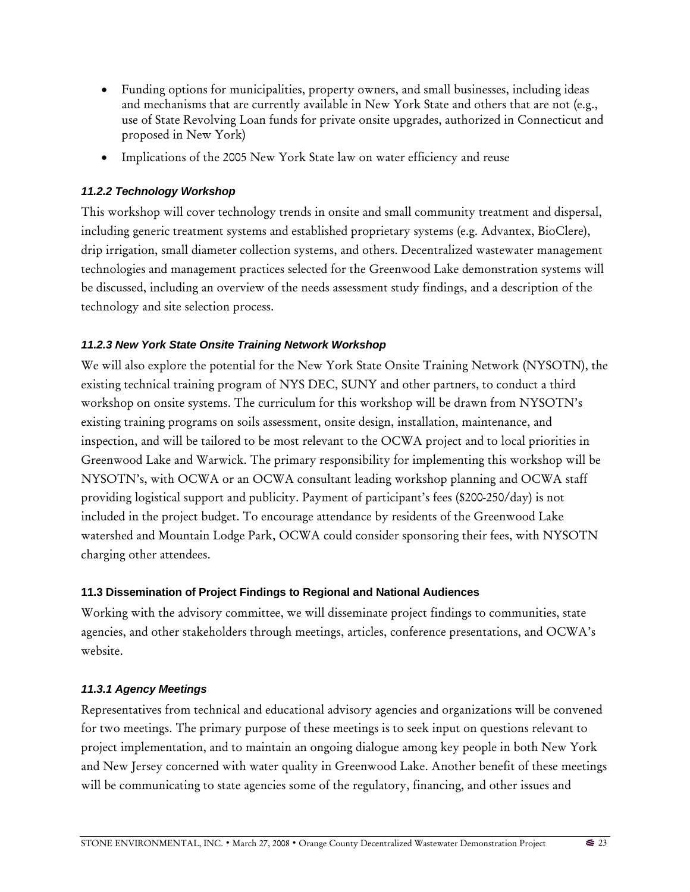- Funding options for municipalities, property owners, and small businesses, including ideas and mechanisms that are currently available in New York State and others that are not (e.g., use of State Revolving Loan funds for private onsite upgrades, authorized in Connecticut and proposed in New York)
- Implications of the 2005 New York State law on water efficiency and reuse

## *11.2.2 Technology Workshop*

This workshop will cover technology trends in onsite and small community treatment and dispersal, including generic treatment systems and established proprietary systems (e.g. Advantex, BioClere), drip irrigation, small diameter collection systems, and others. Decentralized wastewater management technologies and management practices selected for the Greenwood Lake demonstration systems will be discussed, including an overview of the needs assessment study findings, and a description of the technology and site selection process.

## *11.2.3 New York State Onsite Training Network Workshop*

We will also explore the potential for the New York State Onsite Training Network (NYSOTN), the existing technical training program of NYS DEC, SUNY and other partners, to conduct a third workshop on onsite systems. The curriculum for this workshop will be drawn from NYSOTN's existing training programs on soils assessment, onsite design, installation, maintenance, and inspection, and will be tailored to be most relevant to the OCWA project and to local priorities in Greenwood Lake and Warwick. The primary responsibility for implementing this workshop will be NYSOTN's, with OCWA or an OCWA consultant leading workshop planning and OCWA staff providing logistical support and publicity. Payment of participant's fees (\$200-250/day) is not included in the project budget. To encourage attendance by residents of the Greenwood Lake watershed and Mountain Lodge Park, OCWA could consider sponsoring their fees, with NYSOTN charging other attendees.

### **11.3 Dissemination of Project Findings to Regional and National Audiences**

Working with the advisory committee, we will disseminate project findings to communities, state agencies, and other stakeholders through meetings, articles, conference presentations, and OCWA's website.

## *11.3.1 Agency Meetings*

Representatives from technical and educational advisory agencies and organizations will be convened for two meetings. The primary purpose of these meetings is to seek input on questions relevant to project implementation, and to maintain an ongoing dialogue among key people in both New York and New Jersey concerned with water quality in Greenwood Lake. Another benefit of these meetings will be communicating to state agencies some of the regulatory, financing, and other issues and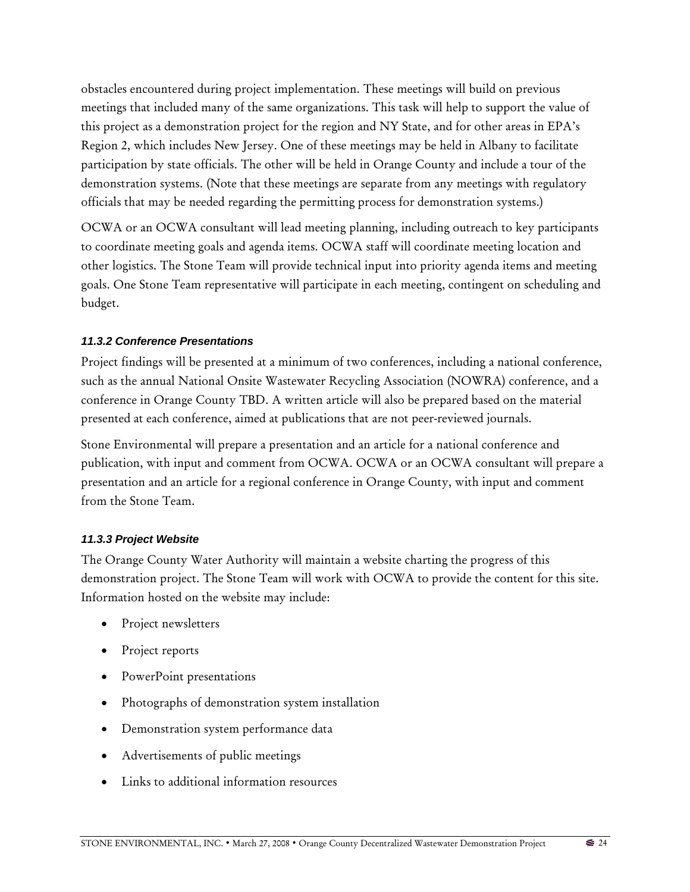obstacles encountered during project implementation. These meetings will build on previous meetings that included many of the same organizations. This task will help to support the value of this project as a demonstration project for the region and NY State, and for other areas in EPA's Region 2, which includes New Jersey. One of these meetings may be held in Albany to facilitate participation by state officials. The other will be held in Orange County and include a tour of the demonstration systems. (Note that these meetings are separate from any meetings with regulatory officials that may be needed regarding the permitting process for demonstration systems.)

OCWA or an OCWA consultant will lead meeting planning, including outreach to key participants to coordinate meeting goals and agenda items. OCWA staff will coordinate meeting location and other logistics. The Stone Team will provide technical input into priority agenda items and meeting goals. One Stone Team representative will participate in each meeting, contingent on scheduling and budget.

### *11.3.2 Conference Presentations*

Project findings will be presented at a minimum of two conferences, including a national conference, such as the annual National Onsite Wastewater Recycling Association (NOWRA) conference, and a conference in Orange County TBD. A written article will also be prepared based on the material presented at each conference, aimed at publications that are not peer-reviewed journals.

Stone Environmental will prepare a presentation and an article for a national conference and publication, with input and comment from OCWA. OCWA or an OCWA consultant will prepare a presentation and an article for a regional conference in Orange County, with input and comment from the Stone Team.

## *11.3.3 Project Website*

The Orange County Water Authority will maintain a website charting the progress of this demonstration project. The Stone Team will work with OCWA to provide the content for this site. Information hosted on the website may include:

- Project newsletters
- Project reports
- PowerPoint presentations
- Photographs of demonstration system installation
- Demonstration system performance data
- Advertisements of public meetings
- Links to additional information resources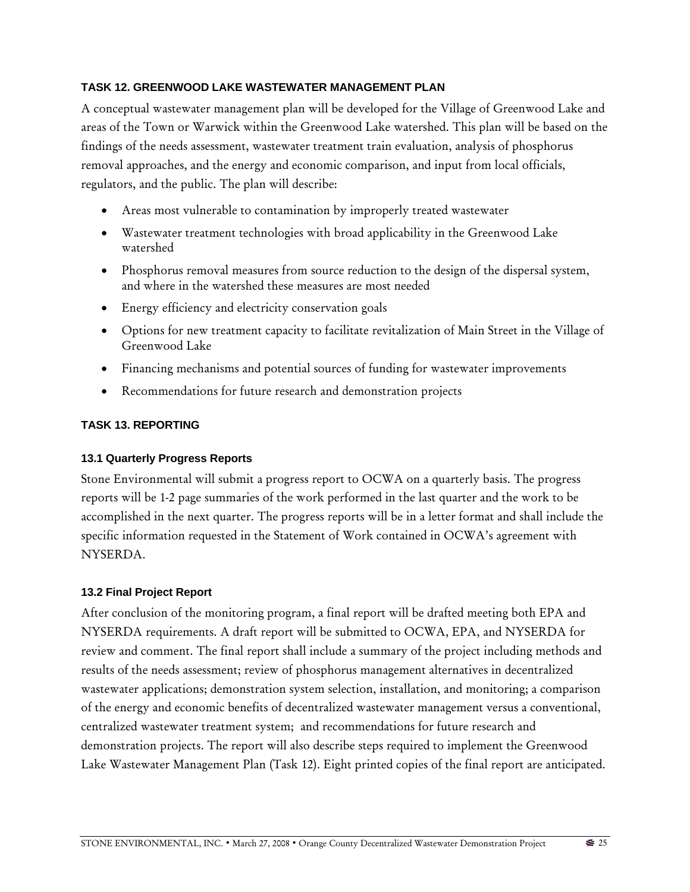## **TASK 12. GREENWOOD LAKE WASTEWATER MANAGEMENT PLAN**

A conceptual wastewater management plan will be developed for the Village of Greenwood Lake and areas of the Town or Warwick within the Greenwood Lake watershed. This plan will be based on the findings of the needs assessment, wastewater treatment train evaluation, analysis of phosphorus removal approaches, and the energy and economic comparison, and input from local officials, regulators, and the public. The plan will describe:

- Areas most vulnerable to contamination by improperly treated wastewater
- Wastewater treatment technologies with broad applicability in the Greenwood Lake watershed
- Phosphorus removal measures from source reduction to the design of the dispersal system, and where in the watershed these measures are most needed
- Energy efficiency and electricity conservation goals
- Options for new treatment capacity to facilitate revitalization of Main Street in the Village of Greenwood Lake
- Financing mechanisms and potential sources of funding for wastewater improvements
- Recommendations for future research and demonstration projects

### **TASK 13. REPORTING**

### **13.1 Quarterly Progress Reports**

Stone Environmental will submit a progress report to OCWA on a quarterly basis. The progress reports will be 1-2 page summaries of the work performed in the last quarter and the work to be accomplished in the next quarter. The progress reports will be in a letter format and shall include the specific information requested in the Statement of Work contained in OCWA's agreement with NYSERDA.

#### **13.2 Final Project Report**

After conclusion of the monitoring program, a final report will be drafted meeting both EPA and NYSERDA requirements. A draft report will be submitted to OCWA, EPA, and NYSERDA for review and comment. The final report shall include a summary of the project including methods and results of the needs assessment; review of phosphorus management alternatives in decentralized wastewater applications; demonstration system selection, installation, and monitoring; a comparison of the energy and economic benefits of decentralized wastewater management versus a conventional, centralized wastewater treatment system; and recommendations for future research and demonstration projects. The report will also describe steps required to implement the Greenwood Lake Wastewater Management Plan (Task 12). Eight printed copies of the final report are anticipated.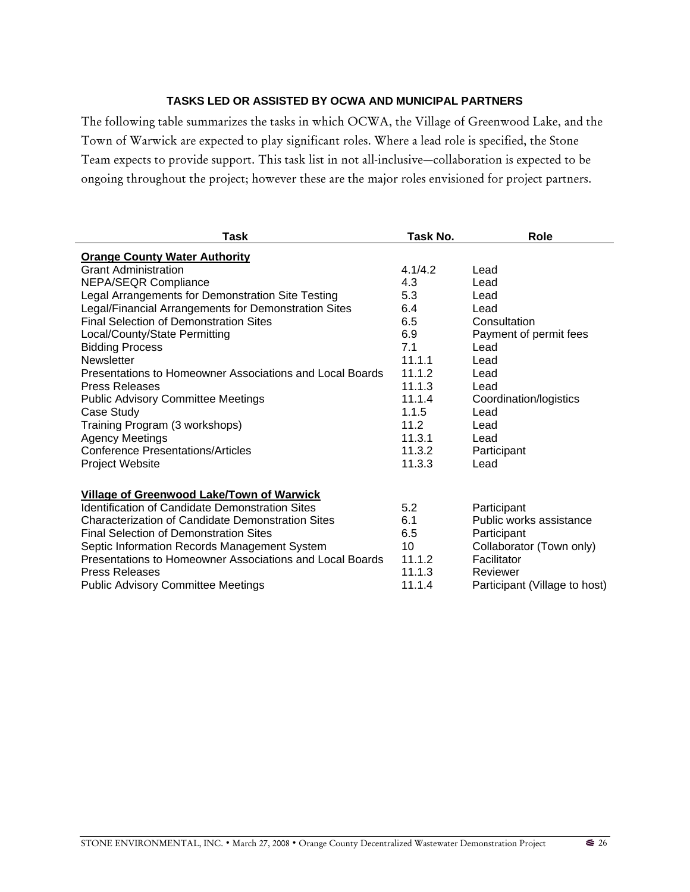## **TASKS LED OR ASSISTED BY OCWA AND MUNICIPAL PARTNERS**

The following table summarizes the tasks in which OCWA, the Village of Greenwood Lake, and the Town of Warwick are expected to play significant roles. Where a lead role is specified, the Stone Team expects to provide support. This task list in not all-inclusive—collaboration is expected to be ongoing throughout the project; however these are the major roles envisioned for project partners.

| <b>Task</b>                                              | Task No. | <b>Role</b>                   |
|----------------------------------------------------------|----------|-------------------------------|
| <b>Orange County Water Authority</b>                     |          |                               |
| <b>Grant Administration</b>                              | 4.1/4.2  | Lead                          |
| <b>NEPA/SEQR Compliance</b>                              | 4.3      | Lead                          |
| Legal Arrangements for Demonstration Site Testing        | 5.3      | Lead                          |
| Legal/Financial Arrangements for Demonstration Sites     | 6.4      | Lead                          |
| <b>Final Selection of Demonstration Sites</b>            | 6.5      | Consultation                  |
| Local/County/State Permitting                            | 6.9      | Payment of permit fees        |
| <b>Bidding Process</b>                                   | 7.1      | Lead                          |
| <b>Newsletter</b>                                        | 11.1.1   | Lead                          |
| Presentations to Homeowner Associations and Local Boards | 11.1.2   | Lead                          |
| <b>Press Releases</b>                                    | 11.1.3   | Lead                          |
| <b>Public Advisory Committee Meetings</b>                | 11.1.4   | Coordination/logistics        |
| Case Study                                               | 1.1.5    | Lead                          |
| Training Program (3 workshops)                           | 11.2     | Lead                          |
| <b>Agency Meetings</b>                                   | 11.3.1   | Lead                          |
| <b>Conference Presentations/Articles</b>                 | 11.3.2   | Participant                   |
| <b>Project Website</b>                                   | 11.3.3   | Lead                          |
|                                                          |          |                               |
| Village of Greenwood Lake/Town of Warwick                |          |                               |
| Identification of Candidate Demonstration Sites          | 5.2      | Participant                   |
| <b>Characterization of Candidate Demonstration Sites</b> | 6.1      | Public works assistance       |
| <b>Final Selection of Demonstration Sites</b>            | 6.5      | Participant                   |
| Septic Information Records Management System             | 10       | Collaborator (Town only)      |
| Presentations to Homeowner Associations and Local Boards | 11.1.2   | Facilitator                   |
| <b>Press Releases</b>                                    | 11.1.3   | Reviewer                      |
| <b>Public Advisory Committee Meetings</b>                | 11.1.4   | Participant (Village to host) |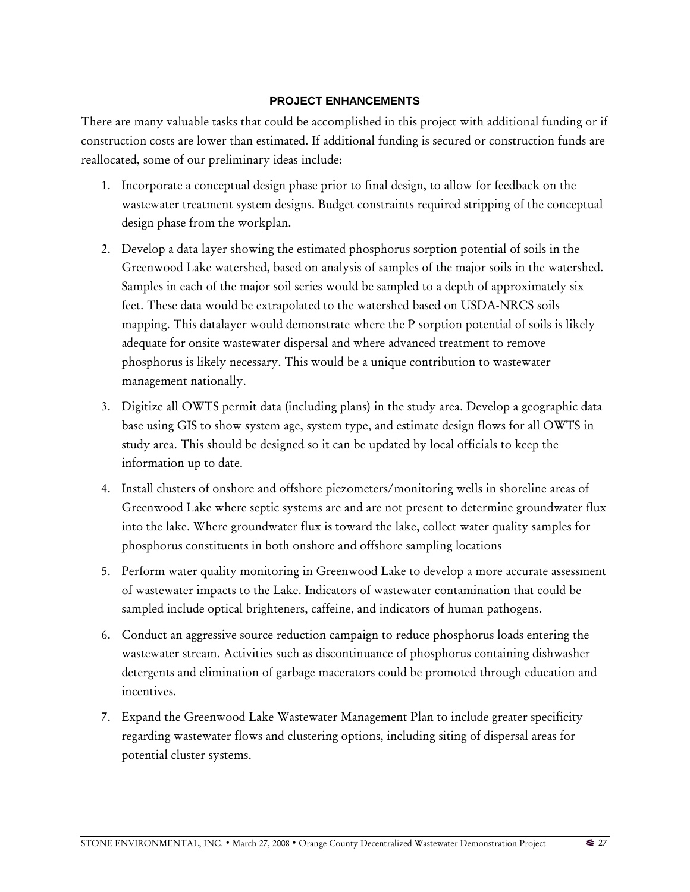#### **PROJECT ENHANCEMENTS**

There are many valuable tasks that could be accomplished in this project with additional funding or if construction costs are lower than estimated. If additional funding is secured or construction funds are reallocated, some of our preliminary ideas include:

- 1. Incorporate a conceptual design phase prior to final design, to allow for feedback on the wastewater treatment system designs. Budget constraints required stripping of the conceptual design phase from the workplan.
- 2. Develop a data layer showing the estimated phosphorus sorption potential of soils in the Greenwood Lake watershed, based on analysis of samples of the major soils in the watershed. Samples in each of the major soil series would be sampled to a depth of approximately six feet. These data would be extrapolated to the watershed based on USDA-NRCS soils mapping. This datalayer would demonstrate where the P sorption potential of soils is likely adequate for onsite wastewater dispersal and where advanced treatment to remove phosphorus is likely necessary. This would be a unique contribution to wastewater management nationally.
- 3. Digitize all OWTS permit data (including plans) in the study area. Develop a geographic data base using GIS to show system age, system type, and estimate design flows for all OWTS in study area. This should be designed so it can be updated by local officials to keep the information up to date.
- 4. Install clusters of onshore and offshore piezometers/monitoring wells in shoreline areas of Greenwood Lake where septic systems are and are not present to determine groundwater flux into the lake. Where groundwater flux is toward the lake, collect water quality samples for phosphorus constituents in both onshore and offshore sampling locations
- 5. Perform water quality monitoring in Greenwood Lake to develop a more accurate assessment of wastewater impacts to the Lake. Indicators of wastewater contamination that could be sampled include optical brighteners, caffeine, and indicators of human pathogens.
- 6. Conduct an aggressive source reduction campaign to reduce phosphorus loads entering the wastewater stream. Activities such as discontinuance of phosphorus containing dishwasher detergents and elimination of garbage macerators could be promoted through education and incentives.
- 7. Expand the Greenwood Lake Wastewater Management Plan to include greater specificity regarding wastewater flows and clustering options, including siting of dispersal areas for potential cluster systems.